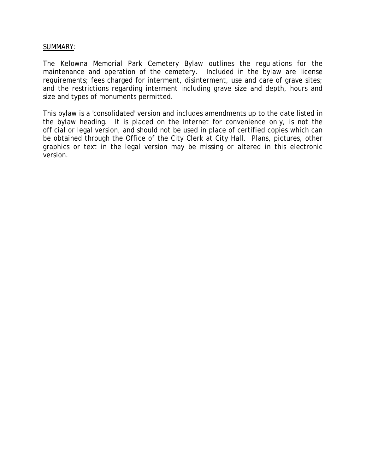# SUMMARY:

The Kelowna Memorial Park Cemetery Bylaw outlines the regulations for the maintenance and operation of the cemetery. Included in the bylaw are license requirements; fees charged for interment, disinterment, use and care of grave sites; and the restrictions regarding interment including grave size and depth, hours and size and types of monuments permitted.

This bylaw is a 'consolidated' version and includes amendments up to the date listed in the bylaw heading. It is placed on the Internet for convenience only, is not the official or legal version, and should not be used in place of certified copies which can be obtained through the Office of the City Clerk at City Hall. Plans, pictures, other graphics or text in the legal version may be missing or altered in this electronic version.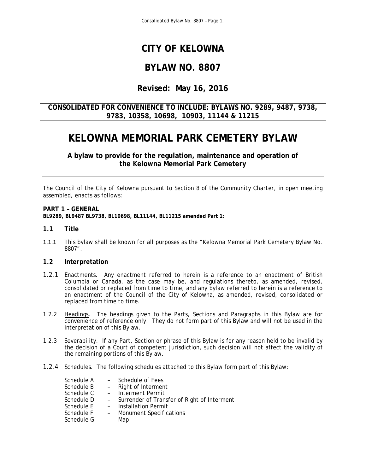# **CITY OF KELOWNA**

# **BYLAW NO. 8807**

# **Revised: May 16, 2016**

# **CONSOLIDATED FOR CONVENIENCE TO INCLUDE: BYLAWS NO. 9289, 9487, 9738, 9783, 10358, 10698, 10903, 11144 & 11215**

# **KELOWNA MEMORIAL PARK CEMETERY BYLAW**

**A bylaw to provide for the regulation, maintenance and operation of the Kelowna Memorial Park Cemetery** 

The Council of the City of Kelowna pursuant to Section 8 of the *Community Charter*, in open meeting assembled, enacts as follows:

### **PART 1 – GENERAL**

**BL9289, BL9487 BL9738, BL10698, BL11144, BL11215 amended Part 1:** 

### **1.1 Title**

1.1.1 This bylaw shall be known for all purposes as the "Kelowna Memorial Park Cemetery Bylaw No. 8807".

### **1.2 Interpretation**

- 1.2.1 Enactments. Any enactment referred to herein is a reference to an enactment of British Columbia or Canada, as the case may be, and regulations thereto, as amended, revised, consolidated or replaced from time to time, and any bylaw referred to herein is a reference to an enactment of the Council of the City of Kelowna, as amended, revised, consolidated or replaced from time to time.
- 1.2.2 Headings. The headings given to the Parts, Sections and Paragraphs in this Bylaw are for convenience of reference only. They do not form part of this Bylaw and will not be used in the interpretation of this Bylaw.
- 1.2.3 Severability. If any Part, Section or phrase of this Bylaw is for any reason held to be invalid by the decision of a Court of competent jurisdiction, such decision will not affect the validity of the remaining portions of this Bylaw.
- 1.2.4 Schedules. The following schedules attached to this Bylaw form part of this Bylaw:

| Schedule A | - Schedule of Fees                            |
|------------|-----------------------------------------------|
| Schedule B | - Right of Interment                          |
| Schedule C | - Interment Permit                            |
| Schedule D | - Surrender of Transfer of Right of Interment |
| Schedule E | - Installation Permit                         |
| Schedule F | - Monument Specifications                     |
| Schedule G | Map                                           |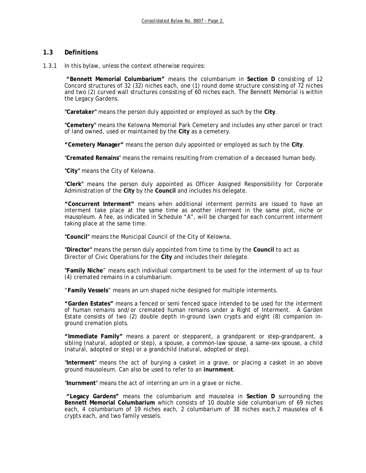## **1.3 Definitions**

1.3.1 In this bylaw, unless the context otherwise requires:

 **"Bennett Memorial Columbarium"** means the columbarium in **Section D** consisting of 12 Concord structures of 32 (32) niches each, one (1) round dome structure consisting of 72 niches and two (2) curved wall structures consisting of 60 niches each. The Bennett Memorial is within the Legacy Gardens.

**"Caretaker"** means the person duly appointed or employed as such by the **City**.

**"Cemetery"** means the Kelowna Memorial Park Cemetery and includes any other parcel or tract of land owned, used or maintained by the **City** as a cemetery.

**"Cemetery Manager"** means the person duly appointed or employed as such by the **City**.

"**Cremated Remains**" means the remains resulting from cremation of a deceased human body.

**"City"** means the City of Kelowna.

**"Clerk"** means the person duly appointed as Officer Assigned Responsibility for Corporate Administration of the **City** by the **Council** and includes his delegate.

**"Concurrent Interment"** means when additional interment permits are issued to have an interment take place at the same time as another interment in the same plot, niche or mausoleum. A fee, as indicated in Schedule "A", will be charged for each concurrent interment taking place at the same time.

**"Council"** means the Municipal Council of the City of Kelowna.

**"Director"** means the person duly appointed from time to time by the **Council** to act as Director of Civic Operations for the **City** and includes their delegate.

**"Family Niche**" means each individual compartment to be used for the interment of up to four (4) cremated remains in a columbarium.

"**Family Vessels**" means an urn shaped niche designed for multiple interments.

**"Garden Estates"** means a fenced or semi fenced space intended to be used for the interment of human remains and/or cremated human remains under a Right of Interment. A Garden Estate consists of two (2) double depth in-ground lawn crypts and eight (8) companion inground cremation plots.

**"Immediate Family"** means a parent or stepparent, a grandparent or step-grandparent, a sibling (natural, adopted or step), a spouse, a common-law spouse, a same-sex spouse, a child (natural, adopted or step) or a grandchild (natural, adopted or step).

"**Interment**" means the act of burying a casket in a grave, or placing a casket in an above ground mausoleum. Can also be used to refer to an **inurnment**.

"**Inurnment**" means the act of interring an urn in a grave or niche.

 **"Legacy Gardens"** means the columbarium and mausolea in **Section D** surrounding the **Bennett Memorial Columbarium** which consists of 10 double side columbarium of 69 niches each, 4 columbarium of 19 niches each, 2 columbarium of 38 niches each,2 mausolea of 6 crypts each, and two family vessels.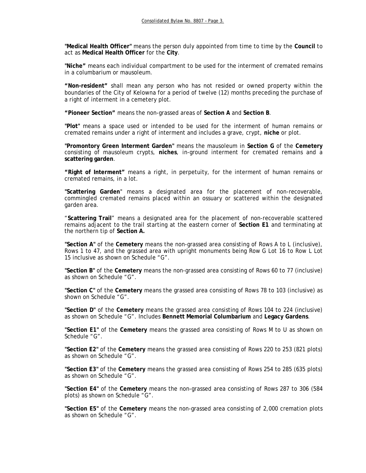**"Medical Health Officer"** means the person duly appointed from time to time by the **Council** to act as **Medical Health Officer** for the **City**.

**"Niche"** means each individual compartment to be used for the interment of cremated remains in a columbarium or mausoleum.

**"Non-resident"** shall mean any person who has not resided or owned property within the boundaries of the City of Kelowna for a period of twelve (12) months preceding the purchase of a right of interment in a cemetery plot.

**"Pioneer Section"** means the non-grassed areas of **Section A** and **Section B**.

**"Plot"** means a space used or intended to be used for the interment of human remains or cremated remains under a right of interment and includes a grave, crypt, **niche** or plot.

 **"Promontory Green Interment Garden"** means the mausoleum in **Section G** of the **Cemetery** consisting of mausoleum crypts, **niches**, in-ground interment for cremated remains and a **scattering garden**.

**"Right of Interment"** means a right, in perpetuity, for the interment of human remains or cremated remains, in a lot.

 **"Scattering Garden**" means a designated area for the placement of non-recoverable, commingled cremated remains placed within an ossuary or scattered within the designated garden area.

"**Scattering Trail**" means a designated area for the placement of non-recoverable scattered remains adjacent to the trail starting at the eastern corner of **Section E1** and terminating at the northern tip of **Section A.**

**"Section A"** of the **Cemetery** means the non-grassed area consisting of Rows A to L (inclusive), Rows 1 to 47, and the grassed area with upright monuments being Row G Lot 16 to Row L Lot 15 inclusive as shown on Schedule "G".

**"Section B"** of the **Cemetery** means the non-grassed area consisting of Rows 60 to 77 (inclusive) as shown on Schedule "G".

**"Section C"** of the **Cemetery** means the grassed area consisting of Rows 78 to 103 (inclusive) as shown on Schedule "G".

**"Section D"** of the **Cemetery** means the grassed area consisting of Rows 104 to 224 (inclusive) as shown on Schedule "G". Includes **Bennett Memorial Columbarium** and **Legacy Gardens**.

**"Section E1"** of the **Cemetery** means the grassed area consisting of Rows M to U as shown on Schedule "G".

**"Section E2"** of the **Cemetery** means the grassed area consisting of Rows 220 to 253 (821 plots) as shown on Schedule "G".

**"Section E3"** of the **Cemetery** means the grassed area consisting of Rows 254 to 285 (635 plots) as shown on Schedule "G".

**"Section E4"** of the **Cemetery** means the non-grassed area consisting of Rows 287 to 306 (584 plots) as shown on Schedule "G".

**"Section E5"** of the **Cemetery** means the non-grassed area consisting of 2,000 cremation plots as shown on Schedule "G".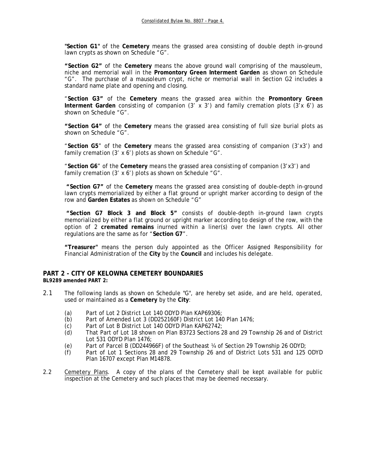**"Section G1"** of the **Cemetery** means the grassed area consisting of double depth in-ground lawn crypts as shown on Schedule "G".

**"Section G2"** of the **Cemetery** means the above ground wall comprising of the mausoleum, niche and memorial wall in the **Promontory Green Interment Garden** as shown on Schedule "G". The purchase of a mausoleum crypt, niche or memorial wall in Section G2 includes a standard name plate and opening and closing.

"**Section G3"** of the **Cemetery** means the grassed area within the **Promontory Green Interment Garden** consisting of companion (3' x 3') and family cremation plots (3'x 6') as shown on Schedule "G".

**"Section G4"** of the **Cemetery** means the grassed area consisting of full size burial plots as shown on Schedule "G".

"**Section G5**" of the **Cemetery** means the grassed area consisting of companion (3'x3') and family cremation (3' x 6') plots as shown on Schedule "G".

"**Section G6**" of the **Cemetery** means the grassed area consisting of companion (3'x3') and family cremation (3' x 6') plots as shown on Schedule "G".

 **"Section G7"** of the **Cemetery** means the grassed area consisting of double-depth in-ground lawn crypts memorialized by either a flat ground or upright marker according to design of the row and **Garden Estates** as shown on Schedule "G"

 **"Section G7 Block 3 and Block 5"** consists of double-depth in-ground lawn crypts memorialized by either a flat ground or upright marker according to design of the row, with the option of 2 **cremated remains** inurned within a liner(s) over the lawn crypts. All other regulations are the same as for "**Section G7**".

**"Treasurer"** means the person duly appointed as the Officer Assigned Responsibility for Financial Administration of the **City** by the **Council** and includes his delegate.

# **PART 2 - CITY OF KELOWNA CEMETERY BOUNDARIES**

**BL9289 amended PART 2:** 

- 2.1 The following lands as shown on Schedule "G", are hereby set aside, and are held, operated, used or maintained as a **Cemetery** by the **City**:
	- (a) Part of Lot 2 District Lot 140 ODYD Plan KAP69306;
	- (b) Part of Amended Lot 3 (DD252160F) District Lot 140 Plan 1476;
	- (c) Part of Lot B District Lot 140 ODYD Plan KAP62742;
	- (d) That Part of Lot 18 shown on Plan B3723 Sections 28 and 29 Township 26 and of District Lot 531 ODYD Plan 1476;
	- (e) Part of Parcel B (DD244966F) of the Southeast ¼ of Section 29 Township 26 ODYD;<br>(f) Part of Lot 1 Sections 28 and 29 Township 26 and of District Lots 531 and 125
	- Part of Lot 1 Sections 28 and 29 Township 26 and of District Lots 531 and 125 ODYD Plan 16707 except Plan M14878.
- 2.2 Cemetery Plans. A copy of the plans of the Cemetery shall be kept available for public inspection at the Cemetery and such places that may be deemed necessary.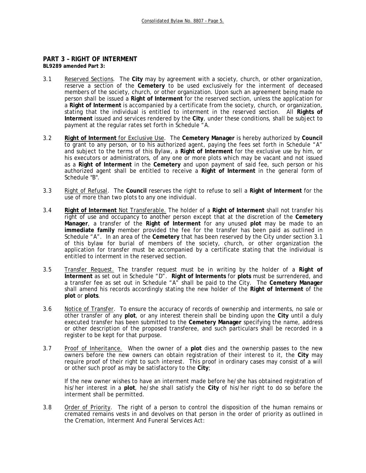# **PART 3 – RIGHT OF INTERMENT**

**BL9289 amended Part 3:** 

- 3.1 Reserved Sections. The **City** may by agreement with a society, church, or other organization, reserve a section of the **Cemetery** to be used exclusively for the interment of deceased members of the society, church, or other organization. Upon such an agreement being made no person shall be issued a **Right of Interment** for the reserved section, unless the application for a **Right of Interment** is accompanied by a certificate from the society, church, or organization, stating that the individual is entitled to interment in the reserved section. All **Rights of Interment** issued and services rendered by the **City**, under these conditions, shall be subject to payment at the regular rates set forth in Schedule "A.
- 3.2 **Right of Interment** for Exclusive Use. The **Cemetery Manager** is hereby authorized by **Council** to grant to any person, or to his authorized agent, paying the fees set forth in Schedule "A" and subject to the terms of this Bylaw, a **Right of Interment** for the exclusive use by him, or his executors or administrators, of any one or more plots which may be vacant and not issued as a **Right of Interment** in the **Cemetery** and upon payment of said fee, such person or his authorized agent shall be entitled to receive a **Right of Interment** in the general form of Schedule "B".
- 3.3 Right of Refusal. The **Council** reserves the right to refuse to sell a **Right of Interment** for the use of more than two plots to any one individual.
- 3.4 **Right of Interment** Not Transferable. The holder of a **Right of Interment** shall not transfer his right of use and occupancy to another person except that at the discretion of the **Cemetery Manager**, a transfer of the **Right of Interment** for any unused **plot** may be made to an **immediate family** member provided the fee for the transfer has been paid as outlined in Schedule "A". In an area of the **Cemetery** that has been reserved by the City under section 3.1 of this bylaw for burial of members of the society, church, or other organization the application for transfer must be accompanied by a certificate stating that the individual is entitled to interment in the reserved section.
- 3.5 Transfer Request. The transfer request must be in writing by the holder of a **Right of Interment** as set out in Schedule "D". **Right of Interments** for **plots** must be surrendered, and a transfer fee as set out in Schedule "A" shall be paid to the City. The **Cemetery Manager** shall amend his records accordingly stating the new holder of the **Right of Interment** of the **plot** or **plots**.
- 3.6 Notice of Transfer. To ensure the accuracy of records of ownership and interments, no sale or other transfer of any **plot**, or any interest therein shall be binding upon the **City** until a duly executed transfer has been submitted to the **Cemetery Manager** specifying the name, address or other description of the proposed transferee, and such particulars shall be recorded in a register to be kept for that purpose.
- 3.7 Proof of Inheritance. When the owner of a **plot** dies and the ownership passes to the new owners before the new owners can obtain registration of their interest to it, the **City** may require proof of their right to such interest. This proof in ordinary cases may consist of a will or other such proof as may be satisfactory to the **City**;

 If the new owner wishes to have an interment made before he/she has obtained registration of his/her interest in a **plot**, he/she shall satisfy the **City** of his/her right to do so before the interment shall be permitted.

3.8 Order of Priority. The right of a person to control the disposition of the human remains or cremated remains vests in and devolves on that person in the order of priority as outlined in the *Cremation, Interment And Funeral Services Act:*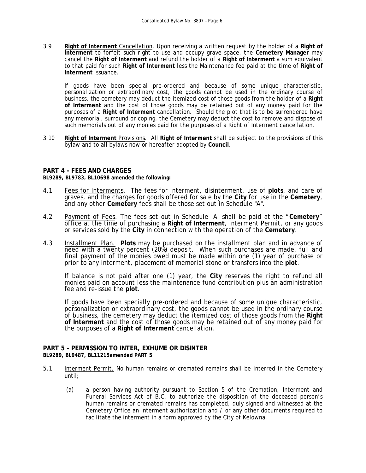3.9 **Right of Interment** Cancellation. Upon receiving a written request by the holder of a **Right of Interment** to forfeit such right to use and occupy grave space, the **Cemetery Manager** may cancel the **Right of Interment** and refund the holder of a **Right of Interment** a sum equivalent to that paid for such **Right of Interment** less the Maintenance fee paid at the time of **Right of Interment** issuance.

If goods have been special pre-ordered and because of some unique characteristic, personalization or extraordinary cost, the goods cannot be used in the ordinary course of business, the cemetery may deduct the itemized cost of those goods from the holder of a **Right of Interment** and the cost of those goods may be retained out of any money paid for the purposes of a **Right of Interment** cancellation. Should the plot that is to be surrendered have any memorial, surround or coping, the Cemetery may deduct the cost to remove and dispose of such memorials out of any monies paid for the purposes of a Right of Interment cancellation.

3.10 **Right of Interment** Provisions. All **Right of Interment** shall be subject to the provisions of this bylaw and to all bylaws now or hereafter adopted by **Council**.

### **PART 4 - FEES AND CHARGES**

**BL9289, BL9783, BL10698 amended the following:** 

- 4.1 Fees for Interments. The fees for interment, disinterment, use of **plots**, and care of graves, and the charges for goods offered for sale by the **City** for use in the **Cemetery**, and any other **Cemetery** fees shall be those set out in Schedule "A".
- 4.2 Payment of Fees. The fees set out in Schedule "A" shall be paid at the "**Cemetery**" office at the time of purchasing a **Right of Interment**, Interment Permit, or any goods or services sold by the **City** in connection with the operation of the **Cemetery**.
- 4.3 Installment Plan. **Plots** may be purchased on the installment plan and in advance of need with a twenty percent (20%) deposit. When such purchases are made, full and final payment of the monies owed must be made within one (1) year of purchase or prior to any interment, placement of memorial stone or transfers into the **plot**.

 If balance is not paid after one (1) year, the **City** reserves the right to refund all monies paid on account less the maintenance fund contribution plus an administration fee and re-issue the **plot**.

If goods have been specially pre-ordered and because of some unique characteristic, personalization or extraordinary cost, the goods cannot be used in the ordinary course of business, the cemetery may deduct the itemized cost of those goods from the **Right of Interment** and the cost of those goods may be retained out of any money paid for the purposes of a **Right of Interment** cancellation.

#### **PART 5 - PERMISSION TO INTER, EXHUME OR DISINTER BL9289, BL9487, BL11215amended PART 5**

- 
- 5.1 Interment Permit. No human remains or cremated remains shall be interred in the Cemetery until;
	- (a) a person having authority pursuant to Section 5 of the Cremation, Interment and Funeral Services Act of B.C. to authorize the disposition of the deceased person's human remains or cremated remains has completed, duly signed and witnessed at the Cemetery Office an interment authorization and / or any other documents required to facilitate the interment in a form approved by the City of Kelowna.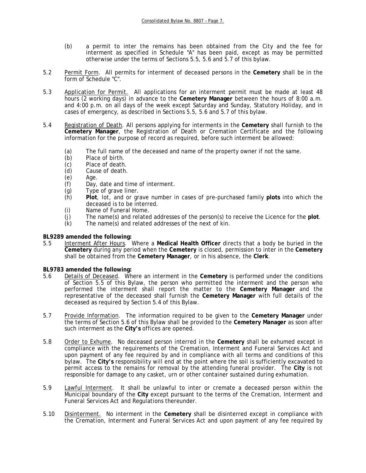- (b) a permit to inter the remains has been obtained from the City and the fee for interment as specified in Schedule "A" has been paid, except as may be permitted otherwise under the terms of Sections 5.5, 5.6 and 5.7 of this bylaw.
- 5.2 Permit Form. All permits for interment of deceased persons in the **Cemetery** shall be in the form of Schedule "C".
- 5.3 Application for Permit. All applications for an interment permit must be made at least 48 hours (2 working days) in advance to the **Cemetery Manager** between the hours of 8:00 a.m. and 4:00 p.m. on all days of the week except Saturday and Sunday, Statutory Holiday, and in cases of emergency, as described in Sections 5.5, 5.6 and 5.7 of this bylaw.
- 5.4 Registration of Death. All persons applying for interments in the **Cemetery** shall furnish to the **Cemetery Manager**, the Registration of Death or Cremation Certificate and the following information for the purpose of record as required, before such interment be allowed:
	- (a) The full name of the deceased and name of the property owner if not the same.
	- (b) Place of birth.
	-
	- (c) Place of death.<br>(d) Cause of death. Cause of death.
	- (e) Age.
	- (f) Day, date and time of interment.
	- (g) Type of grave liner.
	- (h) **Plot**, lot, and or grave number in cases of pre-purchased family **plots** into which the deceased is to be interred.
	- (i) Name of Funeral Home.
	- (j) The name(s) and related addresses of the person(s) to receive the Licence for the **plot**.
	- (k) The name(s) and related addresses of the next of kin.

### **BL9289 amended the following:**

5.5 Interment After Hours. Where a **Medical Health Officer** directs that a body be buried in the **Cemetery** during any period when the **Cemetery** is closed, permission to inter in the **Cemetery** shall be obtained from the **Cemetery Manager**, or in his absence, the **Clerk**.

## **BL9783 amended the following:**

- 5.6 Details of Deceased. Where an interment in the **Cemetery** is performed under the conditions of Section 5.5 of this Bylaw, the person who permitted the interment and the person who performed the interment shall report the matter to the **Cemetery Manager** and the representative of the deceased shall furnish the **Cemetery Manager** with full details of the deceased as required by Section 5.4 of this Bylaw.
- 5.7 Provide Information. The information required to be given to the **Cemetery Manager** under the terms of Section 5.6 of this Bylaw shall be provided to the **Cemetery Manager** as soon after such interment as the **City's** offices are opened.
- 5.8 Order to Exhume. No deceased person interred in the **Cemetery** shall be exhumed except in compliance with the requirements of the *Cremation, Interment and Funeral Services Act* and upon payment of any fee required by and in compliance with all terms and conditions of this bylaw. The **City's** responsibility will end at the point where the soil is sufficiently excavated to permit access to the remains for removal by the attending funeral provider. The **City** is not responsible for damage to any casket, urn or other container sustained during exhumation.
- 5.9 Lawful Interment. It shall be unlawful to inter or cremate a deceased person within the Municipal boundary of the **City** except pursuant to the terms of the *Cremation, Interment and Funeral Services Act* and Regulations thereunder.
- 5.10 Disinterment. No interment in the **Cemetery** shall be disinterred except in compliance with the *Cremation, Interment and Funeral Services Act* and upon payment of any fee required by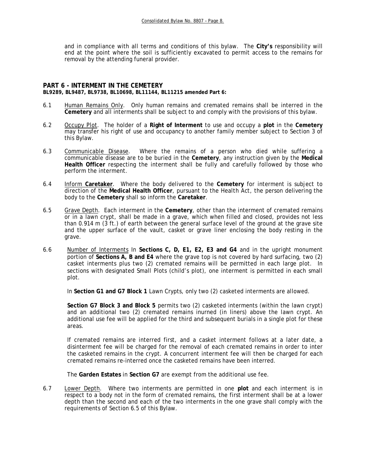and in compliance with all terms and conditions of this bylaw. The **City's** responsibility will end at the point where the soil is sufficiently excavated to permit access to the remains for removal by the attending funeral provider.

### **PART 6 - INTERMENT IN THE CEMETERY BL9289, BL9487, BL9738, BL10698, BL11144, BL11215 amended Part 6:**

- 6.1 Human Remains Only. Only human remains and cremated remains shall be interred in the **Cemetery** and all interments shall be subject to and comply with the provisions of this bylaw.
- 6.2 Occupy Plot. The holder of a **Right of Interment** to use and occupy a **plot** in the **Cemetery** may transfer his right of use and occupancy to another family member subject to Section 3 of this Bylaw.
- 6.3 Communicable Disease. Where the remains of a person who died while suffering a communicable disease are to be buried in the **Cemetery**, any instruction given by the **Medical Health Officer** respecting the interment shall be fully and carefully followed by those who perform the interment.
- 6.4 Inform **Caretaker**. Where the body delivered to the **Cemetery** for interment is subject to direction of the **Medical Health Officer**, pursuant to the *Health Act*, the person delivering the body to the **Cemetery** shall so inform the **Caretaker**.
- 6.5 Grave Depth. Each interment in the **Cemetery**, other than the interment of cremated remains or in a lawn crypt, shall be made in a grave, which when filled and closed, provides not less than 0.914 m (3 ft.) of earth between the general surface level of the ground at the grave site and the upper surface of the vault, casket or grave liner enclosing the body resting in the grave.
- 6.6 Number of Interments In **Sections C, D, E1, E2, E3 and G4** and in the upright monument portion of **Sections A, B and E4** where the grave top is not covered by hard surfacing, two (2) casket interments plus two (2) cremated remains will be permitted in each large plot. In sections with designated Small Plots (child's plot), one interment is permitted in each small plot.

In **Section G1 and G7 Block 1** Lawn Crypts, only two (2) casketed interments are allowed.

 **Section G7 Block 3 and Block 5** permits two (2) casketed interments (within the lawn crypt) and an additional two (2) cremated remains inurned (in liners) above the lawn crypt. An additional use fee will be applied for the third and subsequent burials in a single plot for these areas.

 If cremated remains are interred first, and a casket interment follows at a later date, a disinterment fee will be charged for the removal of each cremated remains in order to inter the casketed remains in the crypt. A concurrent interment fee will then be charged for each cremated remains re-interred once the casketed remains have been interred.

The **Garden Estates** in **Section G7** are exempt from the additional use fee.

6.7 Lower Depth. Where two interments are permitted in one **plot** and each interment is in respect to a body not in the form of cremated remains, the first interment shall be at a lower depth than the second and each of the two interments in the one grave shall comply with the requirements of Section 6.5 of this Bylaw.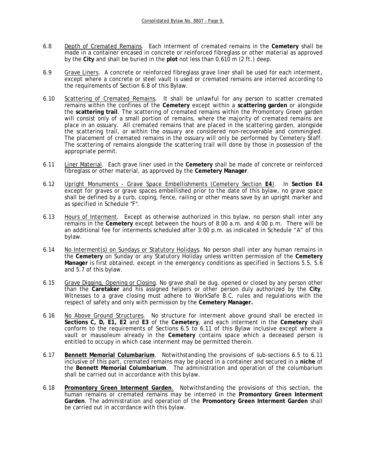- 6.8 Depth of Cremated Remains. Each interment of cremated remains in the **Cemetery** shall be made in a container encased in concrete or reinforced fibreglass or other material as approved by the **City** and shall be buried in the **plot** not less than 0.610 m (2 ft.) deep.
- 6.9 Grave Liners. A concrete or reinforced fibreglass grave liner shall be used for each interment, except where a concrete or steel vault is used or cremated remains are interred according to the requirements of Section 6.8 of this Bylaw.
- 6.10 Scattering of Cremated Remains. It shall be unlawful for any person to scatter cremated remains within the confines of the **Cemetery** except within a **scattering garden** or alongside the **scattering trail**. The scattering of cremated remains within the Promontory Green garden will consist only of a small portion of remains, where the majority of cremated remains are place in an ossuary. All cremated remains that are placed in the scattering garden, alongside the scattering trail, or within the ossuary are considered non-recoverable and commingled. The placement of cremated remains in the ossuary will only be performed by Cemetery Staff. The scattering of remains alongside the scattering trail will done by those in possession of the appropriate permit.
- 6.11 Liner Material. Each grave liner used in the **Cemetery** shall be made of concrete or reinforced fibreglass or other material, as approved by the **Cemetery Manager**.
- 6.12 Upright Monuments Grave Space Embellishments (Cemetery Section **E4**). In **Section E4** except for graves or grave spaces embellished prior to the date of this bylaw, no grave space shall be defined by a curb, coping, fence, railing or other means save by an upright marker and as specified in Schedule "F".
- 6.13 Hours of Interment. Except as otherwise authorized in this bylaw, no person shall inter any remains in the **Cemetery** except between the hours of 8:00 a.m. and 4:00 p.m. There will be an additional fee for interments scheduled after 3:00 p.m. as indicated in Schedule "A" of this bylaw.
- 6.14 No Interment(s) on Sundays or Statutory Holidays. No person shall inter any human remains in the **Cemetery** on Sunday or any Statutory Holiday unless written permission of the **Cemetery Manager** is first obtained, except in the emergency conditions as specified in Sections 5.5, 5.6 and 5.7 of this bylaw.
- 6.15 Grave Digging, Opening or Closing. No grave shall be dug, opened or closed by any person other than the **Caretaker** and his assigned helpers or other person duly authorized by the **City**. Witnesses to a grave closing must adhere to WorkSafe B.C. rules and regulations with the respect of safety and only with permission by the **Cemetery Manager.**
- 6.16 No Above Ground Structures. No structure for interment above ground shall be erected in **Sections C, D, E1, E2** and **E3** of the **Cemetery**, and each interment in the **Cemetery** shall conform to the requirements of Sections 6.5 to 6.11 of this Bylaw inclusive except where a vault or mausoleum already in the **Cemetery** contains space which a deceased person is entitled to occupy in which case interment may be permitted therein.
- 6.17 **Bennett Memorial Columbarium**. Notwithstanding the provisions of sub-sections 6.5 to 6.11 inclusive of this part, cremated remains may be placed in a container and secured in a **niche** of the **Bennett Memorial Columbarium**. The administration and operation of the columbarium shall be carried out in accordance with this bylaw.
- 6.18 **Promontory Green Interment Garden**. Notwithstanding the provisions of this section, the human remains or cremated remains may be interred in the **Promontory Green Interment Garden**. The administration and operation of the **Promontory Green Interment Garden** shall be carried out in accordance with this bylaw.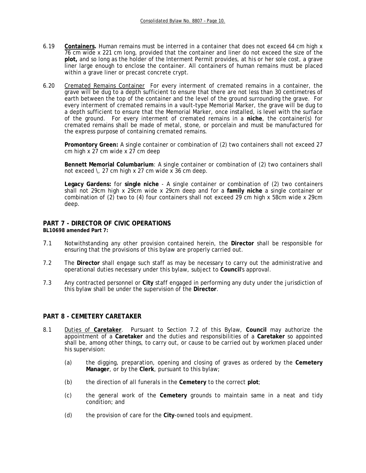- 6.19 **Containers.** Human remains must be interred in a container that does not exceed 64 cm high x 76 cm wide x 221 cm long, provided that the container and liner do not exceed the size of the **plot,** and so long as the holder of the Interment Permit provides, at his or her sole cost, a grave liner large enough to enclose the container. All containers of human remains must be placed within a grave liner or precast concrete crypt.
- 6.20 Cremated Remains Container For every interment of cremated remains in a container, the grave will be dug to a depth sufficient to ensure that there are not less than 30 centimetres of earth between the top of the container and the level of the ground surrounding the grave. For every interment of cremated remains in a vault-type Memorial Marker, the grave will be dug to a depth sufficient to ensure that the Memorial Marker, once installed, is level with the surface of the ground. For every interment of cremated remains in a **niche**, the container(s) for cremated remains shall be made of metal, stone, or porcelain and must be manufactured for the express purpose of containing cremated remains.

**Promontory Green:** A single container or combination of (2) two containers shall not exceed 27 cm high  $x$  27 cm wide  $x$  27 cm deep

**Bennett Memorial Columbarium**: A single container or combination of (2) two containers shall not exceed \, 27 cm high x 27 cm wide x 36 cm deep.

**Legacy Gardens:** for **single niche** - A single container or combination of (2) two containers shall not 29cm high x 29cm wide x 29cm deep and for a **family niche** a single container or combination of (2) two to (4) four containers shall not exceed 29 cm high x 58cm wide x 29cm deep.

#### **PART 7 - DIRECTOR OF CIVIC OPERATIONS BL10698 amended Part 7:**

- 7.1 Notwithstanding any other provision contained herein, the **Director** shall be responsible for ensuring that the provisions of this bylaw are properly carried out.
- 7.2 The **Director** shall engage such staff as may be necessary to carry out the administrative and operational duties necessary under this bylaw, subject to **Council**'s approval.
- 7.3 Any contracted personnel or **City** staff engaged in performing any duty under the jurisdiction of this bylaw shall be under the supervision of the **Director**.

## **PART 8 - CEMETERY CARETAKER**

- 8.1 Duties of **Caretaker**. Pursuant to Section 7.2 of this Bylaw, **Council** may authorize the appointment of a **Caretaker** and the duties and responsibilities of a **Caretaker** so appointed shall be, among other things, to carry out, or cause to be carried out by workmen placed under his supervision:
	- (a) the digging, preparation, opening and closing of graves as ordered by the **Cemetery Manager**, or by the **Clerk**, pursuant to this bylaw;
	- (b) the direction of all funerals in the **Cemetery** to the correct **plot**;
	- (c) the general work of the **Cemetery** grounds to maintain same in a neat and tidy condition; and
	- (d) the provision of care for the **City**-owned tools and equipment.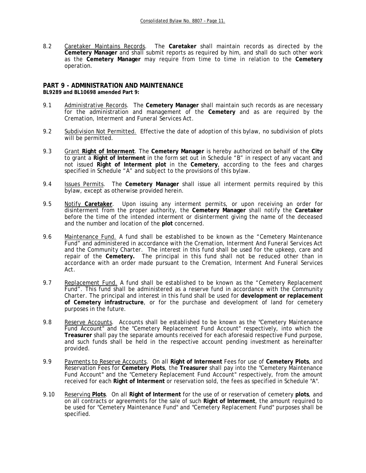8.2 Caretaker Maintains Records. The **Caretaker** shall maintain records as directed by the **Cemetery Manager** and shall submit reports as required by him, and shall do such other work as the **Cemetery Manager** may require from time to time in relation to the **Cemetery** operation.

#### **PART 9 - ADMINISTRATION AND MAINTENANCE BL9289 and BL10698 amended Part 9:**

- 9.1 Administrative Records. The **Cemetery Manager** shall maintain such records as are necessary for the administration and management of the **Cemetery** and as are required by the *Cremation, Interment and Funeral Services Act*.
- 9.2 Subdivision Not Permitted. Effective the date of adoption of this bylaw, no subdivision of plots will be permitted.
- 9.3 Grant **Right of Interment**. The **Cemetery Manager** is hereby authorized on behalf of the **City** to grant a **Right of Interment** in the form set out in Schedule "B" in respect of any vacant and not issued **Right of Interment plot** in the **Cemetery**, according to the fees and charges specified in Schedule "A" and subject to the provisions of this bylaw.
- 9.4 Issues Permits. The **Cemetery Manager** shall issue all interment permits required by this bylaw, except as otherwise provided herein.
- 9.5 Notify **Caretaker**. Upon issuing any interment permits, or upon receiving an order for disinterment from the proper authority, the **Cemetery Manager** shall notify the **Caretaker** before the time of the intended interment or disinterment giving the name of the deceased and the number and location of the **plot** concerned.
- 9.6 Maintenance Fund. A fund shall be established to be known as the "Cemetery Maintenance Fund" and administered in accordance with the *Cremation, Interment And Funeral Services Act* and the *Community Charter*. The interest in this fund shall be used for the upkeep, care and repair of the **Cemetery.** The principal in this fund shall not be reduced other than in accordance with an order made pursuant to the *Cremation, Interment And Funeral Services Act*.
- 9.7 Replacement Fund. A fund shall be established to be known as the "Cemetery Replacement Fund". This fund shall be administered as a reserve fund in accordance with the *Community Charter.* The principal and interest in this fund shall be used for **development or replacement of Cemetery infrastructure**, or for the purchase and development of land for cemetery purposes in the future.
- 9.8 Reserve Accounts. Accounts shall be established to be known as the "Cemetery Maintenance Fund Account" and the "Cemetery Replacement Fund Account" respectively, into which the **Treasurer** shall pay the separate amounts received for each aforesaid respective Fund purpose, and such funds shall be held in the respective account pending investment as hereinafter provided.
- 9.9 Payments to Reserve Accounts. On all **Right of Interment** Fees for use of **Cemetery Plots**, and Reservation Fees for **Cemetery Plots**, the **Treasurer** shall pay into the "Cemetery Maintenance Fund Account" and the "Cemetery Replacement Fund Account" respectively, from the amount received for each **Right of Interment** or reservation sold, the fees as specified in Schedule "A".
- 9.10 Reserving **Plots**. On all **Right of Interment** for the use of or reservation of cemetery **plots**, and on all contracts or agreements for the sale of such **Right of Interment**, the amount required to be used for "Cemetery Maintenance Fund" and "Cemetery Replacement Fund" purposes shall be specified.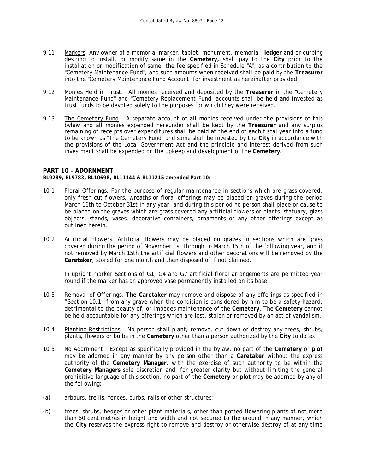- 9.11 Markers. Any owner of a memorial marker, tablet, monument, memorial, **ledger** and or curbing desiring to install, or modify same in the **Cemetery,** shall pay to the **City** prior to the installation or modification of same, the fee specified in Schedule "A", as a contribution to the "Cemetery Maintenance Fund", and such amounts when received shall be paid by the **Treasurer**  into the "Cemetery Maintenance Fund Account" for investment as hereinafter provided.
- 9.12 Monies Held in Trust. All monies received and deposited by the **Treasurer** in the "Cemetery Maintenance Fund" and "Cemetery Replacement Fund" accounts shall be held and invested as trust funds to be devoted solely to the purposes for which they were received.
- 9.13 The Cemetery Fund. A separate account of all monies received under the provisions of this bylaw and all monies expended hereunder shall be kept by the **Treasurer** and any surplus remaining of receipts over expenditures shall be paid at the end of each fiscal year into a fund to be known as "The Cemetery Fund" and same shall be invested by the **City** in accordance with the provisions of the *Local Government Act* and the principle and interest derived from such investment shall be expended on the upkeep and development of the **Cemetery**.

### **PART 10 – ADORNMENT**

**BL9289, BL9783, BL10698, BL11144 & BL11215 amended Part 10:** 

- 10.1 Floral Offerings. For the purpose of regular maintenance in sections which are grass covered, only fresh cut flowers, wreaths or floral offerings may be placed on graves during the period March 16th to October 31st in any year, and during this period no person shall place or cause to be placed on the graves which are grass covered any artificial flowers or plants, statuary, glass objects, stands, vases, decorative containers, ornaments or any other offerings except as outlined herein.
- 10.2Artificial Flowers. Artificial flowers may be placed on graves in sections which are grass covered during the period of November 1st through to March 15th of the following year, and if not removed by March 15th the artificial flowers and other decorations will be removed by the **Caretaker**, stored for one month and then disposed of if not claimed.

 In upright marker Sections of G1, G4 and G7 artificial floral arrangements are permitted year round if the marker has an approved vase permanently installed on its base.

- 10.3 Removal of Offerings. **The Caretaker** may remove and dispose of any offerings as specified in "Section 10.1" from any grave when the condition is considered by him to be a safety hazard, detrimental to the beauty of, or impedes maintenance of the **Cemetery**. The **Cemetery** cannot be held accountable for any offerings which are lost, stolen or removed by an act of vandalism.
- 10.4 Planting Restrictions. No person shall plant, remove, cut down or destroy any trees, shrubs, plants, flowers or bulbs in the **Cemetery** other than a person authorized by the **City** to do so.
- 10.5 No Adornment Except as specifically provided in the bylaw, no part of the **Cemetery** or **plot**  may be adorned in any manner by any person other than a **Caretaker** without the express authority of the **Cemetery Manager**, with the exercise of such authority to be within the **Cemetery Managers** sole discretion and, for greater clarity but without limiting the general prohibitive language of this section, no part of the **Cemetery** or **plot** may be adorned by any of the following:
- (a) arbours, trellis, fences, curbs, rails or other structures;
- (b) trees, shrubs, hedges or other plant materials, other than potted flowering plants of not more than 50 centimetres in height and width and not secured to the ground in any manner, which the **City** reserves the express right to remove and destroy or otherwise destroy of at any time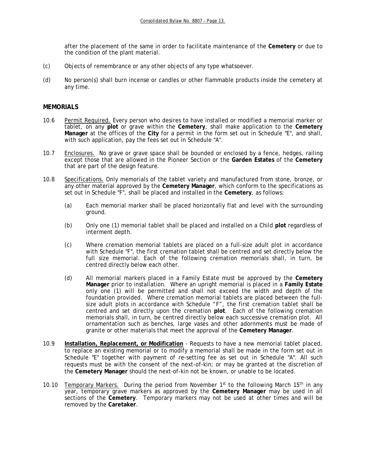after the placement of the same in order to facilitate maintenance of the **Cemetery** or due to the condition of the plant material.

- (c) Objects of remembrance or any other objects of any type whatsoever.
- (d) No person(s) shall burn incense or candles or other flammable products inside the cemetery at any time.

### **MEMORIALS**

- 10.6 Permit Required. Every person who desires to have installed or modified a memorial marker or tablet, on any **plot** or grave within the **Cemetery**, shall make application to the **Cemetery Manager** at the offices of the **City** for a permit in the form set out in Schedule "E", and shall, with such application, pay the fees set out in Schedule "A".
- 10.7 Enclosures. No grave or grave space shall be bounded or enclosed by a fence, hedges, railing except those that are allowed in the Pioneer Section or the **Garden Estates** of the **Cemetery** that are part of the design feature.
- 10.8 Specifications. Only memorials of the tablet variety and manufactured from stone, bronze, or any other material approved by the **Cemetery Manager**, which conform to the specifications as set out in Schedule "F", shall be placed and installed in the **Cemetery**, as follows:
	- (a) Each memorial marker shall be placed horizontally flat and level with the surrounding ground.
	- (b) Only one (1) memorial tablet shall be placed and installed on a Child **plot** regardless of interment depth.
	- (c) Where cremation memorial tablets are placed on a full-size adult plot in accordance with Schedule "F", the first cremation tablet shall be centred and set directly below the full size memorial. Each of the following cremation memorials shall, in turn, be centred directly below each other.
	- (d) All memorial markers placed in a Family Estate must be approved by the **Cemetery Manager** prior to installation. Where an upright memorial is placed in a **Family Estate** only one (1) will be permitted and shall not exceed the width and depth of the foundation provided. Where cremation memorial tablets are placed between the fullsize adult plots in accordance with Schedule "F", the first cremation tablet shall be centred and set directly upon the cremation **plot**. Each of the following cremation memorials shall, in turn, be centred directly below each successive cremation plot. All ornamentation such as benches, large vases and other adornments must be made of granite or other materials that meet the approval of the **Cemetery Manager**.
- 10.9 **Installation, Replacement, or Modification** Requests to have a new memorial tablet placed, to replace an existing memorial or to modify a memorial shall be made in the form set out in Schedule "E" together with payment of re-setting fee as set out in Schedule "A". All such requests must be with the consent of the next-of-kin; or may be granted at the discretion of the **Cemetery Manager** should the next-of-kin not be known, or unable to be located.
- 10.10 Temporary Markers. During the period from November 1st to the following March 15<sup>th</sup> in any year, temporary grave markers as approved by the **Cemetery Manager** may be used in all sections of the **Cemetery**. Temporary markers may not be used at other times and will be removed by the **Caretaker**.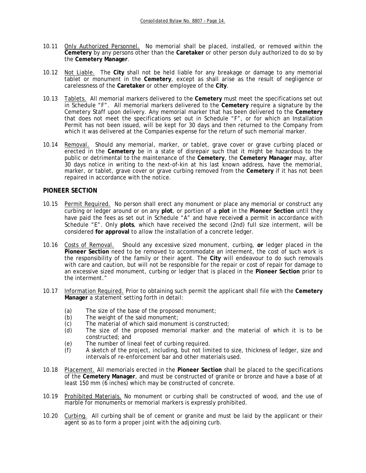- 10.11 Only Authorized Personnel. No memorial shall be placed, installed, or removed within the **Cemetery** by any persons other than the **Caretaker** or other person duly authorized to do so by the **Cemetery Manager**.
- 10.12 Not Liable. The **City** shall not be held liable for any breakage or damage to any memorial tablet or monument in the **Cemetery**, except as shall arise as the result of negligence or carelessness of the **Caretaker** or other employee of the **City**.
- 10.13 Tablets. All memorial markers delivered to the **Cemetery** must meet the specifications set out in Schedule "F". All memorial markers delivered to the **Cemetery** require a signature by the Cemetery Staff upon delivery. Any memorial marker that has been delivered to the **Cemetery** that does not meet the specifications set out in Schedule "F", or for which an Installation Permit has not been issued, will be kept for 30 days and then returned to the Company from which it was delivered at the Companies expense for the return of such memorial marker.
- 10.14 Removal. Should any memorial, marker, or tablet, grave cover or grave curbing placed or erected in the **Cemetery** be in a state of disrepair such that it might be hazardous to the public or detrimental to the maintenance of the **Cemetery**, the **Cemetery Manager** may, after 30 days notice in writing to the next-of-kin at his last known address, have the memorial, marker, or tablet, grave cover or grave curbing removed from the **Cemetery** if it has not been repaired in accordance with the notice.

### **PIONEER SECTION**

- 10.15 Permit Required. No person shall erect any monument or place any memorial or construct any curbing or ledger around or on any **plot**, or portion of a **plot** in the **Pioneer Section** until they have paid the fees as set out in Schedule "A" and have receive**d** a permit in accordance with Schedule "E". Only **plots**, which have received the second (2nd) full size interment, will be considered **for approval** to allow the installation of a concrete ledger.
- 10.16 Costs of Removal. Should any excessive sized monument, curbing, **or** ledger placed in the **Pioneer Section** need to be removed to accommodate an interment, the cost of such work is the responsibility of the family or their agent. The **City** will endeavour to do such removals with care and caution, but will not be responsible for the repair or cost of repair for damage to an excessive sized monument, curbing or ledger that is placed in the **Pioneer Section** prior to the interment."
- 10.17 Information Required. Prior to obtaining such permit the applicant shall file with the **Cemetery Manager** a statement setting forth in detail:
	- (a) The size of the base of the proposed monument;<br>(b) The weight of the said monument;
	-
	- (b) The weight of the said monument;<br>(c) The material of which said monume (c) The material of which said monument is constructed;<br>(d) The size of the proposed memorial marker and th
	- The size of the proposed memorial marker and the material of which it is to be constructed; and
	- (e) The number of lineal feet of curbing required.
	- (f) A sketch of the project, including, but not limited to size, thickness of ledger, size and intervals of re-enforcement bar and other materials used.
- 10.18 Placement. All memorials erected in the **Pioneer Section** shall be placed to the specifications of the **Cemetery Manager**, and must be constructed of granite or bronze and have a base of at least 150 mm (6 inches) which may be constructed of concrete.
- 10.19 Prohibited Materials. No monument or curbing shall be constructed of wood, and the use of marble for monuments or memorial markers is expressly prohibited.
- 10.20 Curbing. All curbing shall be of cement or granite and must be laid by the applicant or their agent so as to form a proper joint with the adjoining curb.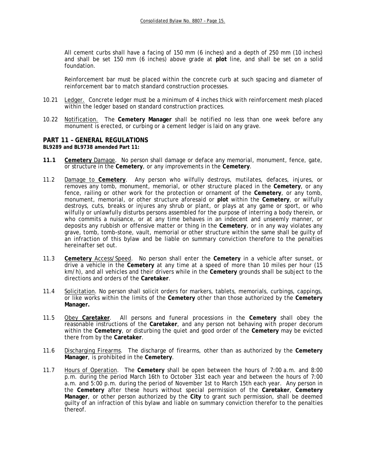All cement curbs shall have a facing of 150 mm (6 inches) and a depth of 250 mm (10 inches) and shall be set 150 mm (6 inches) above grade at **plot** line, and shall be set on a solid foundation.

Reinforcement bar must be placed within the concrete curb at such spacing and diameter of reinforcement bar to match standard construction processes.

- 10.21 Ledger. Concrete ledger must be a minimum of 4 inches thick with reinforcement mesh placed within the ledger based on standard construction practices.
- 10.22 Notification. The **Cemetery Manager** shall be notified no less than one week before any monument is erected, or curbing or a cement ledger is laid on any grave.

### **PART 11 – GENERAL REGULATIONS**

**BL9289 and BL9738 amended Part 11:** 

- **11.1 Cemetery** Damage. No person shall damage or deface any memorial, monument, fence, gate, or structure in the **Cemetery**, or any improvements in the **Cemetery**.
- 11.2 Damage to **Cemetery**. Any person who wilfully destroys, mutilates, defaces, injures, or removes any tomb, monument, memorial, or other structure placed in the **Cemetery**, or any fence, railing or other work for the protection or ornament of the **Cemetery**, or any tomb, monument, memorial, or other structure aforesaid or **plot** within the **Cemetery**, or wilfully destroys, cuts, breaks or injures any shrub or plant, or plays at any game or sport, or who wilfully or unlawfully disturbs persons assembled for the purpose of interring a body therein, or who commits a nuisance, or at any time behaves in an indecent and unseemly manner, or deposits any rubbish or offensive matter or thing in the **Cemetery**, or in any way violates any grave, tomb, tomb-stone, vault, memorial or other structure within the same shall be guilty of an infraction of this bylaw and be liable on summary conviction therefore to the penalties hereinafter set out.
- 11.3 **Cemetery** Access/Speed. No person shall enter the **Cemetery** in a vehicle after sunset, or drive a vehicle in the **Cemetery** at any time at a speed of more than 10 miles per hour (15 km/h), and all vehicles and their drivers while in the **Cemetery** grounds shall be subject to the directions and orders of the **Caretaker**.
- 11.4 Solicitation. No person shall solicit orders for markers, tablets, memorials, curbings, cappings, or like works within the limits of the **Cemetery** other than those authorized by the **Cemetery Manager.**
- 11.5 Obey **Caretaker**. All persons and funeral processions in the **Cemetery** shall obey the reasonable instructions of the **Caretaker**, and any person not behaving with proper decorum within the **Cemetery**, or disturbing the quiet and good order of the **Cemetery** may be evicted there from by the **Caretaker**.
- 11.6 Discharging Firearms. The discharge of firearms, other than as authorized by the **Cemetery Manager**, is prohibited in the **Cemetery**.
- 11.7 Hours of Operation. The **Cemetery** shall be open between the hours of 7:00 a.m. and 8:00 p.m. during the period March 16th to October 31st each year and between the hours of 7:00 a.m. and 5:00 p.m. during the period of November 1st to March 15th each year. Any person in the **Cemetery** after these hours without special permission of the **Caretaker**, **Cemetery Manager**, or other person authorized by the **City** to grant such permission, shall be deemed guilty of an infraction of this bylaw and liable on summary conviction therefor to the penalties thereof.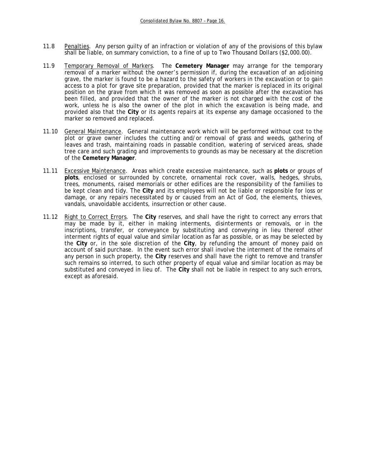- 11.8 Penalties. Any person guilty of an infraction or violation of any of the provisions of this bylaw shall be liable, on summary conviction, to a fine of up to Two Thousand Dollars (\$2,000.00).
- 11.9 Temporary Removal of Markers. The **Cemetery Manager** may arrange for the temporary removal of a marker without the owner's permission if, during the excavation of an adjoining grave, the marker is found to be a hazard to the safety of workers in the excavation or to gain access to a plot for grave site preparation, provided that the marker is replaced in its original position on the grave from which it was removed as soon as possible after the excavation has been filled, and provided that the owner of the marker is not charged with the cost of the work, unless he is also the owner of the plot in which the excavation is being made, and provided also that the **City** or its agents repairs at its expense any damage occasioned to the marker so removed and replaced.
- 11.10 General Maintenance. General maintenance work which will be performed without cost to the plot or grave owner includes the cutting and/or removal of grass and weeds, gathering of leaves and trash, maintaining roads in passable condition, watering of serviced areas, shade tree care and such grading and improvements to grounds as may be necessary at the discretion of the **Cemetery Manager**.
- 11.11 Excessive Maintenance. Areas which create excessive maintenance, such as **plots** or groups of **plots**, enclosed or surrounded by concrete, ornamental rock cover, walls, hedges, shrubs, trees, monuments, raised memorials or other edifices are the responsibility of the families to be kept clean and tidy. The **City** and its employees will not be liable or responsible for loss or damage, or any repairs necessitated by or caused from an Act of God, the elements, thieves, vandals, unavoidable accidents, insurrection or other cause.
- 11.12 Right to Correct Errors. The **City** reserves, and shall have the right to correct any errors that may be made by it, either in making interments, disinterments or removals, or in the inscriptions, transfer, or conveyance by substituting and conveying in lieu thereof other interment rights of equal value and similar location as far as possible, or as may be selected by the **City** or, in the sole discretion of the **City**, by refunding the amount of money paid on account of said purchase. In the event such error shall involve the interment of the remains of any person in such property, the **City** reserves and shall have the right to remove and transfer such remains so interred, to such other property of equal value and similar location as may be substituted and conveyed in lieu of. The **City** shall not be liable in respect to any such errors, except as aforesaid.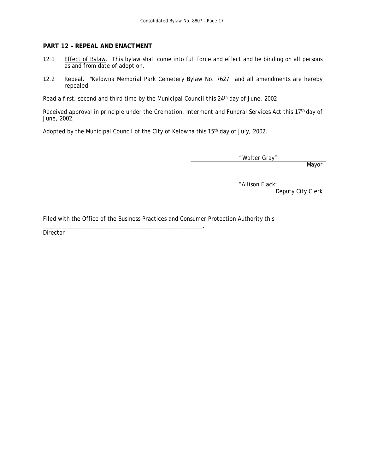## **PART 12 – REPEAL AND ENACTMENT**

- 12.1 Effect of Bylaw. This bylaw shall come into full force and effect and be binding on all persons as and from date of adoption.
- 12.2 Repeal. "Kelowna Memorial Park Cemetery Bylaw No. 7627" and all amendments are hereby repealed.

Read a first, second and third time by the Municipal Council this 24<sup>th</sup> day of June, 2002

Received approval in principle under the *Cremation, Interment and Funeral Services Act* this 17th day of June, 2002.

Adopted by the Municipal Council of the City of Kelowna this 15<sup>th</sup> day of July, 2002.

"Walter Gray"

Mayor

"Allison Flack"

Deputy City Clerk

Filed with the Office of the Business Practices and Consumer Protection Authority this

\_\_\_\_\_\_\_\_\_\_\_\_\_\_\_\_\_\_\_\_\_\_\_\_\_\_\_\_\_\_\_\_\_\_\_\_\_\_\_\_\_\_\_\_\_\_\_\_\_\_\_.

Director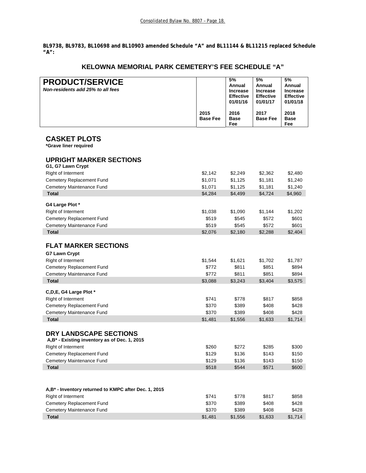**BL9738, BL9783, BL10698 and BL10903 amended Schedule "A" and BL11144 & BL11215 replaced Schedule "A":** 

# **KELOWNA MEMORIAL PARK CEMETERY'S FEE SCHEDULE "A"**

| <b>PRODUCT/SERVICE</b>                                   |                 | 5%                           | 5%                                  | 5%                           |
|----------------------------------------------------------|-----------------|------------------------------|-------------------------------------|------------------------------|
| Non-residents add 25% to all fees                        |                 | Annual                       | Annual                              | Annual                       |
|                                                          |                 | <b>Increase</b>              | <b>Increase</b><br><b>Effective</b> | <b>Increase</b>              |
|                                                          |                 | <b>Effective</b><br>01/01/16 | 01/01/17                            | <b>Effective</b><br>01/01/18 |
|                                                          |                 |                              |                                     |                              |
|                                                          | 2015            | 2016                         | 2017                                | 2018                         |
|                                                          | <b>Base Fee</b> | <b>Base</b><br>Fee           | <b>Base Fee</b>                     | <b>Base</b><br>Fee           |
|                                                          |                 |                              |                                     |                              |
| <b>CASKET PLOTS</b>                                      |                 |                              |                                     |                              |
| *Grave liner required                                    |                 |                              |                                     |                              |
|                                                          |                 |                              |                                     |                              |
| <b>UPRIGHT MARKER SECTIONS</b>                           |                 |                              |                                     |                              |
| G1, G7 Lawn Crypt                                        |                 |                              |                                     |                              |
| Right of Interment                                       | \$2,142         | \$2,249                      | \$2,362                             | \$2,480                      |
| Cemetery Replacement Fund                                | \$1,071         | \$1,125                      | \$1,181                             | \$1,240                      |
| Cemetery Maintenance Fund                                | \$1,071         | \$1,125                      | \$1,181                             | \$1,240                      |
| <b>Total</b>                                             | \$4,284         | \$4,499                      | \$4,724                             | \$4,960                      |
|                                                          |                 |                              |                                     |                              |
| G4 Large Plot *                                          |                 |                              |                                     |                              |
| Right of Interment                                       | \$1,038         | \$1,090                      | \$1,144                             | \$1,202                      |
| Cemetery Replacement Fund                                | \$519           | \$545                        | \$572                               | \$601                        |
| Cemetery Maintenance Fund                                | \$519           | \$545                        | \$572                               | \$601                        |
| <b>Total</b>                                             | \$2,076         | \$2,180                      | \$2,288                             | \$2,404                      |
|                                                          |                 |                              |                                     |                              |
| <b>FLAT MARKER SECTIONS</b>                              |                 |                              |                                     |                              |
| <b>G7 Lawn Crypt</b>                                     |                 |                              |                                     |                              |
| Right of Interment                                       | \$1,544         | \$1,621                      | \$1,702                             | \$1,787                      |
| Cemetery Replacement Fund                                | \$772           | \$811                        | \$851                               | \$894                        |
| Cemetery Maintenance Fund                                | \$772           | \$811                        | \$851                               | \$894                        |
| <b>Total</b>                                             | \$3,088         | \$3,243                      | \$3,404                             | \$3,575                      |
| C,D,E, G4 Large Plot *                                   |                 |                              |                                     |                              |
| Right of Interment                                       | \$741           | \$778                        | \$817                               | \$858                        |
| Cemetery Replacement Fund                                | \$370           | \$389                        | \$408                               | \$428                        |
| Cemetery Maintenance Fund                                | \$370           | \$389                        | \$408                               | \$428                        |
| <b>Total</b>                                             | \$1,481         | \$1,556                      | \$1,633                             | \$1,714                      |
|                                                          |                 |                              |                                     |                              |
| DRY LANDSCAPE SECTIONS                                   |                 |                              |                                     |                              |
| A,B <sup>*</sup> - Existing inventory as of Dec. 1, 2015 |                 |                              |                                     |                              |
| Right of Interment                                       | \$260           | \$272                        | \$285                               | \$300                        |
| Cemetery Replacement Fund                                | \$129           | \$136                        | \$143                               | \$150                        |
| Cemetery Maintenance Fund                                | \$129           | \$136                        | \$143                               | \$150                        |
| <b>Total</b>                                             | \$518           | \$544                        | \$571                               | \$600                        |
|                                                          |                 |                              |                                     |                              |
|                                                          |                 |                              |                                     |                              |
| A,B* - Inventory returned to KMPC after Dec. 1, 2015     |                 |                              |                                     |                              |
| Right of Interment                                       | \$741           | \$778                        | \$817                               | \$858                        |
| Cemetery Replacement Fund                                | \$370           | \$389                        | \$408                               | \$428                        |
| Cemetery Maintenance Fund                                | \$370           | \$389                        | \$408                               | \$428                        |
| <b>Total</b>                                             | \$1,481         | \$1,556                      | \$1,633                             | \$1,714                      |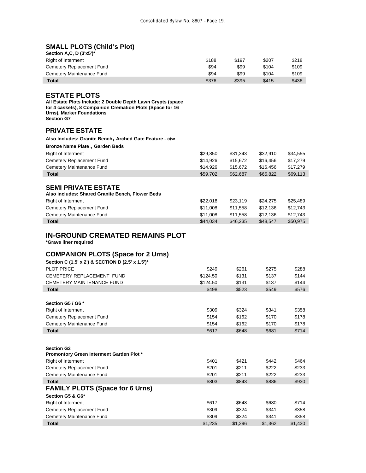# **SMALL PLOTS (Child's Plot)**

| Section A.C. D $(3'x5')^*$ |       |       |       |       |
|----------------------------|-------|-------|-------|-------|
| Right of Interment         | \$188 | \$197 | \$207 | \$218 |
| Cemetery Replacement Fund  | \$94  | \$99  | \$104 | \$109 |
| Cemetery Maintenance Fund  | \$94  | \$99  | \$104 | \$109 |
| Total                      | \$376 | \$395 | \$415 | \$436 |

# **ESTATE PLOTS**

ľ

I

I

**All Estate Plots Include: 2 Double Depth Lawn Crypts (space for 4 caskets), 8 Companion Cremation Plots (Space for 16 Urns), Marker Foundations Section G7** 

### **PRIVATE ESTATE**

| Also Includes: Granite Bench, Arched Gate Feature - c/w |          |          |          |          |
|---------------------------------------------------------|----------|----------|----------|----------|
| <b>Bronze Name Plate, Garden Beds</b>                   |          |          |          |          |
| Right of Interment                                      | \$29,850 | \$31,343 | \$32.910 | \$34,555 |
| Cemetery Replacement Fund                               | \$14,926 | \$15,672 | \$16,456 | \$17,279 |
| Cemetery Maintenance Fund                               | \$14.926 | \$15,672 | \$16,456 | \$17,279 |
| <b>Total</b>                                            | \$59,702 | \$62,687 | \$65,822 | \$69,113 |
|                                                         |          |          |          |          |
| <b>SEMI PRIVATE ESTATE</b>                              |          |          |          |          |
| Also includes: Shared Granite Bench, Flower Beds        |          |          |          |          |
| <b>Right of Interment</b>                               | \$22,018 | \$23.119 | \$24.275 | \$25.489 |
| Cemetery Replacement Fund                               | \$11,008 | \$11,558 | \$12,136 | \$12,743 |
| Cemetery Maintenance Fund                               | \$11,008 | \$11.558 | \$12.136 | \$12.743 |

 **Total** \$44,034 \$46,235 \$48,547 \$50,975

# **IN-GROUND CREMATED REMAINS PLOT**

**\*Grave liner required** 

## **COMPANION PLOTS (Space for 2 Urns)**

| Section C (1.5' x 2') & SECTION D (2.5' x 1.5')* |          |       |       |       |
|--------------------------------------------------|----------|-------|-------|-------|
| PI OT PRICE                                      | \$249    | \$261 | \$275 | \$288 |
| CEMETERY REPLACEMENT FUND                        | \$124.50 | \$131 | \$137 | \$144 |
| <b>CEMETERY MAINTENANCE FUND</b>                 | \$124.50 | \$131 | \$137 | \$144 |
| <b>Total</b>                                     | \$498    | \$523 | \$549 | \$576 |
|                                                  |          |       |       |       |
| Section G5 / G6 *                                |          |       |       |       |
| Right of Interment                               | \$309    | \$324 | \$341 | \$358 |
| Cemetery Replacement Fund                        | \$154    | \$162 | \$170 | \$178 |
| Cemetery Maintenance Fund                        | \$154    | \$162 | \$170 | \$178 |
| <b>Total</b>                                     | \$617    | \$648 | \$681 | \$714 |
|                                                  |          |       |       |       |
| <b>Section G3</b>                                |          |       |       |       |
| Promontory Green Interment Garden Plot *         |          |       |       |       |
| <b>Right of Interment</b>                        | \$401    | \$421 | \$442 | \$464 |
| Cemetery Replacement Fund                        | \$201    | \$211 | \$222 | \$233 |
| Cemetery Maintenance Fund                        | \$201    | \$211 | \$222 | \$233 |
| <b>Total</b>                                     | \$803    | \$843 | \$886 | \$930 |
| <b>FAMILY PLOTS (Space for 6 Urns)</b>           |          |       |       |       |
| Section G5 & G6*                                 |          |       |       |       |
| Right of Interment                               | \$617    | \$648 | \$680 | \$714 |
| Cemetery Replacement Fund                        | \$309    | \$324 | \$341 | \$358 |
| Cemetery Maintenance Fund                        | \$309    | \$324 | \$341 | \$358 |

 **Total** \$1,235 \$1,296 \$1,362 \$1,430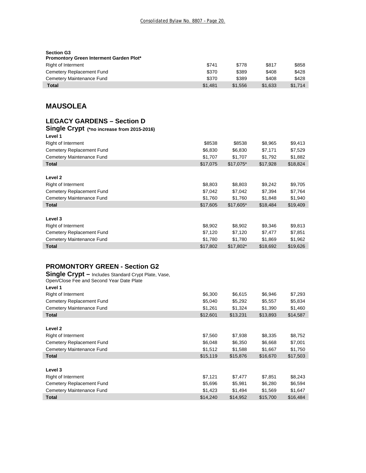| <b>Section G3</b><br><b>Promontory Green Interment Garden Plot*</b> |         |         |         |         |
|---------------------------------------------------------------------|---------|---------|---------|---------|
| Right of Interment                                                  | \$741   | \$778   | \$817   | \$858   |
| Cemetery Replacement Fund                                           | \$370   | \$389   | \$408   | \$428   |
| Cemetery Maintenance Fund                                           | \$370   | \$389   | \$408   | \$428   |
| <b>Total</b>                                                        | \$1.481 | \$1.556 | \$1.633 | \$1.714 |

# **MAUSOLEA**

# **LEGACY GARDENS – Section D**

#### **Single Crypt (\*no increase from 2015-2016) Level 1**

| Level I                   |          |            |          |          |
|---------------------------|----------|------------|----------|----------|
| Right of Interment        | \$8538   | \$8538     | \$8,965  | \$9,413  |
| Cemetery Replacement Fund | \$6,830  | \$6,830    | \$7,171  | \$7,529  |
| Cemetery Maintenance Fund | \$1,707  | \$1,707    | \$1,792  | \$1,882  |
| <b>Total</b>              | \$17,075 | $$17,075*$ | \$17,928 | \$18,824 |
|                           |          |            |          |          |
| Level 2                   |          |            |          |          |
| <b>Right of Interment</b> | \$8,803  | \$8,803    | \$9,242  | \$9,705  |
| Cemetery Replacement Fund | \$7,042  | \$7,042    | \$7,394  | \$7,764  |
| Cemetery Maintenance Fund | \$1,760  | \$1,760    | \$1,848  | \$1,940  |
| <b>Total</b>              | \$17,605 | $$17,605*$ | \$18,484 | \$19,409 |
|                           |          |            |          |          |
| Level 3                   |          |            |          |          |
| Right of Interment        | \$8,902  | \$8,902    | \$9,346  | \$9,813  |
| Cemetery Replacement Fund | \$7,120  | \$7,120    | \$7,477  | \$7,851  |
| Cemetery Maintenance Fund | \$1,780  | \$1,780    | \$1,869  | \$1,962  |
| <b>Total</b>              | \$17,802 | \$17.802*  | \$18.692 | \$19,626 |
|                           |          |            |          |          |

# **PROMONTORY GREEN - Section G2**

**Single Crypt –** Includes Standard Crypt Plate, Vase,

| Open/Close Fee and Second Year Date Plate |          |          |          |          |
|-------------------------------------------|----------|----------|----------|----------|
| Level 1                                   |          |          |          |          |
| <b>Right of Interment</b>                 | \$6,300  | \$6,615  | \$6,946  | \$7,293  |
| Cemetery Replacement Fund                 | \$5,040  | \$5,292  | \$5,557  | \$5,834  |
| Cemetery Maintenance Fund                 | \$1,261  | \$1,324  | \$1,390  | \$1,460  |
| Total                                     | \$12,601 | \$13,231 | \$13,893 | \$14,587 |
|                                           |          |          |          |          |
| Level 2                                   |          |          |          |          |
| <b>Right of Interment</b>                 | \$7,560  | \$7,938  | \$8,335  | \$8,752  |
| Cemetery Replacement Fund                 | \$6,048  | \$6,350  | \$6,668  | \$7,001  |
| Cemetery Maintenance Fund                 | \$1,512  | \$1,588  | \$1,667  | \$1,750  |
| <b>Total</b>                              | \$15,119 | \$15,876 | \$16,670 | \$17,503 |
|                                           |          |          |          |          |
| Level 3                                   |          |          |          |          |
| Right of Interment                        | \$7,121  | \$7,477  | \$7,851  | \$8,243  |
| Cemetery Replacement Fund                 | \$5,696  | \$5,981  | \$6,280  | \$6,594  |
| Cemetery Maintenance Fund                 | \$1,423  | \$1,494  | \$1,569  | \$1,647  |
| <b>Total</b>                              | \$14,240 | \$14,952 | \$15,700 | \$16,484 |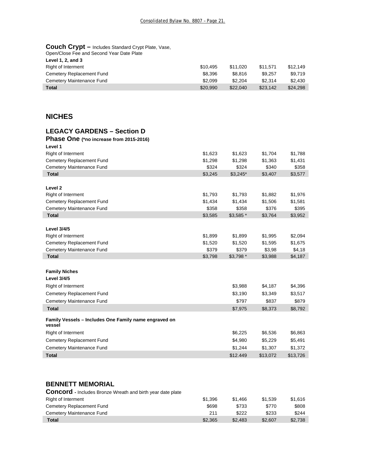| <b>Couch Crypt - Includes Standard Crypt Plate, Vase,</b><br>Open/Close Fee and Second Year Date Plate |          |          |          |          |
|--------------------------------------------------------------------------------------------------------|----------|----------|----------|----------|
| Level 1, 2, and 3                                                                                      |          |          |          |          |
| <b>Right of Interment</b>                                                                              | \$10.495 | \$11.020 | \$11.571 | \$12.149 |
| Cemetery Replacement Fund                                                                              | \$8.396  | \$8.816  | \$9.257  | \$9.719  |
| Cemetery Maintenance Fund                                                                              | \$2.099  | \$2.204  | \$2.314  | \$2.430  |
| Total                                                                                                  | \$20,990 | \$22,040 | \$23,142 | \$24,298 |

# **NICHES**

# **LEGACY GARDENS – Section D**

| Phase One (*no increase from 2015-2016)                         |         |            |          |          |
|-----------------------------------------------------------------|---------|------------|----------|----------|
| Level 1                                                         |         |            |          |          |
| Right of Interment                                              | \$1,623 | \$1,623    | \$1,704  | \$1,788  |
| Cemetery Replacement Fund                                       | \$1,298 | \$1,298    | \$1,363  | \$1,431  |
| Cemetery Maintenance Fund                                       | \$324   | \$324      | \$340    | \$358    |
| <b>Total</b>                                                    | \$3,245 | $$3,245$ * | \$3,407  | \$3,577  |
|                                                                 |         |            |          |          |
| Level <sub>2</sub>                                              |         |            |          |          |
| Right of Interment                                              | \$1,793 | \$1,793    | \$1,882  | \$1,976  |
| Cemetery Replacement Fund                                       | \$1,434 | \$1,434    | \$1,506  | \$1,581  |
| Cemetery Maintenance Fund                                       | \$358   | \$358      | \$376    | \$395    |
| <b>Total</b>                                                    | \$3,585 | $$3,585$ * | \$3,764  | \$3,952  |
| <b>Level 3/4/5</b>                                              |         |            |          |          |
|                                                                 |         |            |          |          |
| <b>Right of Interment</b>                                       | \$1,899 | \$1,899    | \$1,995  | \$2,094  |
| Cemetery Replacement Fund                                       | \$1,520 | \$1,520    | \$1,595  | \$1,675  |
| Cemetery Maintenance Fund<br><b>Total</b>                       | \$379   | \$379      | \$3,98   | \$4,18   |
|                                                                 | \$3,798 | $$3,798$ * | \$3,988  | \$4,187  |
|                                                                 |         |            |          |          |
| <b>Family Niches</b>                                            |         |            |          |          |
| <b>Level 3/4/5</b>                                              |         |            |          |          |
| <b>Right of Interment</b>                                       |         | \$3,988    | \$4,187  | \$4,396  |
| Cemetery Replacement Fund                                       |         | \$3,190    | \$3,349  | \$3,517  |
| Cemetery Maintenance Fund                                       |         | \$797      | \$837    | \$879    |
| <b>Total</b>                                                    |         | \$7,975    | \$8,373  | \$8,792  |
| Family Vessels - Includes One Family name engraved on<br>vessel |         |            |          |          |
| <b>Right of Interment</b>                                       |         | \$6,225    | \$6,536  | \$6,863  |
| Cemetery Replacement Fund                                       |         | \$4,980    | \$5,229  | \$5,491  |
| Cemetery Maintenance Fund                                       |         | \$1,244    | \$1,307  | \$1,372  |
| <b>Total</b>                                                    |         | \$12.449   | \$13,072 | \$13,726 |
|                                                                 |         |            |          |          |

# **BENNETT MEMORIAL**

| <b>Concord</b> - Includes Bronze Wreath and birth year date plate |         |         |         |         |
|-------------------------------------------------------------------|---------|---------|---------|---------|
| Right of Interment                                                | \$1.396 | \$1,466 | \$1.539 | \$1.616 |
| Cemetery Replacement Fund                                         | \$698   | \$733   | \$770   | \$808   |
| Cemetery Maintenance Fund                                         | 211     | \$222   | \$233   | \$244   |
| Total                                                             | \$2.365 | \$2.483 | \$2.607 | \$2.738 |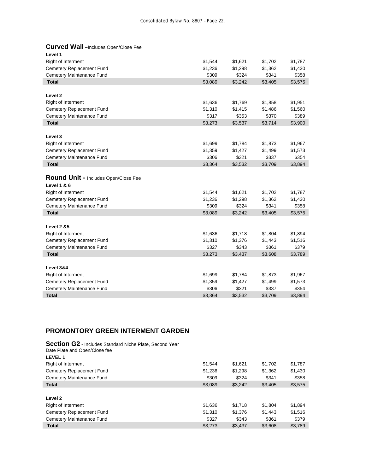# **Curved Wall –**Includes Open/Close Fee

| Level 1                              |         |         |         |         |
|--------------------------------------|---------|---------|---------|---------|
| Right of Interment                   | \$1,544 | \$1,621 | \$1,702 | \$1,787 |
| Cemetery Replacement Fund            | \$1,236 | \$1,298 | \$1,362 | \$1,430 |
| Cemetery Maintenance Fund            | \$309   | \$324   | \$341   | \$358   |
| <b>Total</b>                         | \$3,089 | \$3,242 | \$3,405 | \$3,575 |
|                                      |         |         |         |         |
| Level <sub>2</sub>                   |         |         |         |         |
| Right of Interment                   | \$1,636 | \$1,769 | \$1,858 | \$1,951 |
| Cemetery Replacement Fund            | \$1,310 | \$1,415 | \$1,486 | \$1,560 |
| Cemetery Maintenance Fund            | \$317   | \$353   | \$370   | \$389   |
| <b>Total</b>                         | \$3,273 | \$3,537 | \$3,714 | \$3,900 |
|                                      |         |         |         |         |
| Level 3                              |         |         |         |         |
| Right of Interment                   | \$1,699 | \$1,784 | \$1,873 | \$1,967 |
| Cemetery Replacement Fund            | \$1,359 | \$1,427 | \$1,499 | \$1,573 |
| Cemetery Maintenance Fund            | \$306   | \$321   | \$337   | \$354   |
| <b>Total</b>                         | \$3,364 | \$3,532 | \$3,709 | \$3,894 |
|                                      |         |         |         |         |
| Round Unit - Includes Open/Close Fee |         |         |         |         |
| <b>Level 1 &amp; 6</b>               |         |         |         |         |
| Right of Interment                   | \$1,544 | \$1,621 | \$1,702 | \$1,787 |
| Cemetery Replacement Fund            | \$1,236 | \$1,298 | \$1,362 | \$1,430 |
| Cemetery Maintenance Fund            | \$309   | \$324   | \$341   | \$358   |
| <b>Total</b>                         | \$3,089 | \$3,242 | \$3,405 | \$3,575 |
|                                      |         |         |         |         |
| <b>Level 2 &amp;5</b>                |         |         |         |         |
| Right of Interment                   | \$1,636 | \$1,718 | \$1,804 | \$1,894 |
| Cemetery Replacement Fund            | \$1,310 | \$1,376 | \$1,443 | \$1,516 |
| Cemetery Maintenance Fund            | \$327   | \$343   | \$361   | \$379   |
| <b>Total</b>                         | \$3,273 | \$3,437 | \$3,608 | \$3,789 |
|                                      |         |         |         |         |
| Level 3&4                            |         |         |         |         |
| Right of Interment                   | \$1,699 | \$1,784 | \$1,873 | \$1,967 |
| Cemetery Replacement Fund            | \$1,359 | \$1,427 | \$1,499 | \$1,573 |
| Cemetery Maintenance Fund            | \$306   | \$321   | \$337   | \$354   |
| <b>Total</b>                         | \$3,364 | \$3,532 | \$3,709 | \$3,894 |

# **PROMONTORY GREEN INTERMENT GARDEN**

| Section G2 - Includes Standard Niche Plate, Second Year |         |         |         |         |
|---------------------------------------------------------|---------|---------|---------|---------|
| Date Plate and Open/Close fee                           |         |         |         |         |
| <b>LEVEL1</b>                                           |         |         |         |         |
| Right of Interment                                      | \$1.544 | \$1,621 | \$1,702 | \$1,787 |
| Cemetery Replacement Fund                               | \$1,236 | \$1,298 | \$1.362 | \$1,430 |
| Cemetery Maintenance Fund                               | \$309   | \$324   | \$341   | \$358   |
| <b>Total</b>                                            | \$3,089 | \$3,242 | \$3,405 | \$3,575 |
|                                                         |         |         |         |         |
| Level <sub>2</sub>                                      |         |         |         |         |
| <b>Right of Interment</b>                               | \$1,636 | \$1.718 | \$1.804 | \$1,894 |
| Cemetery Replacement Fund                               | \$1,310 | \$1,376 | \$1.443 | \$1,516 |
| Cemetery Maintenance Fund                               | \$327   | \$343   | \$361   | \$379   |
| <b>Total</b>                                            | \$3.273 | \$3.437 | \$3.608 | \$3.789 |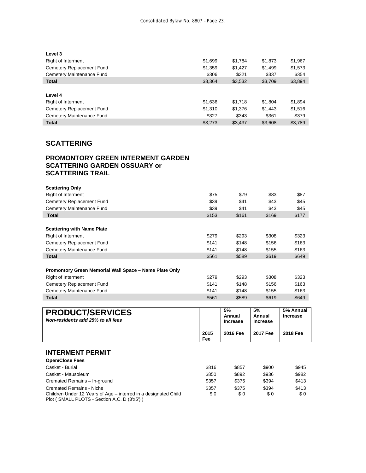| Level 3                   |         |         |         |         |
|---------------------------|---------|---------|---------|---------|
| <b>Right of Interment</b> | \$1,699 | \$1,784 | \$1,873 | \$1,967 |
| Cemetery Replacement Fund | \$1,359 | \$1,427 | \$1,499 | \$1,573 |
| Cemetery Maintenance Fund | \$306   | \$321   | \$337   | \$354   |
| <b>Total</b>              | \$3.364 | \$3,532 | \$3,709 | \$3,894 |
|                           |         |         |         |         |
| Level 4                   |         |         |         |         |
| <b>Right of Interment</b> | \$1,636 | \$1,718 | \$1,804 | \$1,894 |
| Cemetery Replacement Fund | \$1.310 | \$1,376 | \$1,443 | \$1,516 |
| Cemetery Maintenance Fund | \$327   | \$343   | \$361   | \$379   |
| <b>Total</b>              | \$3,273 | \$3,437 | \$3,608 | \$3,789 |
|                           |         |         |         |         |

# **SCATTERING**

# **PROMONTORY GREEN INTERMENT GARDEN SCATTERING GARDEN OSSUARY or SCATTERING TRAIL**

| <b>Scattering Only</b>                                 |       |                           |                           |                 |
|--------------------------------------------------------|-------|---------------------------|---------------------------|-----------------|
| Right of Interment                                     | \$75  | \$79                      | \$83                      | \$87            |
| Cemetery Replacement Fund                              | \$39  | \$41                      | \$43                      | \$45            |
| Cemetery Maintenance Fund                              | \$39  | \$41                      | \$43                      | \$45            |
| <b>Total</b>                                           | \$153 | \$161                     | \$169                     | \$177           |
|                                                        |       |                           |                           |                 |
| <b>Scattering with Name Plate</b>                      |       |                           |                           |                 |
| <b>Right of Interment</b>                              | \$279 | \$293                     | \$308                     | \$323           |
| Cemetery Replacement Fund                              | \$141 | \$148                     | \$156                     | \$163           |
| Cemetery Maintenance Fund                              | \$141 | \$148                     | \$155                     | \$163           |
| <b>Total</b>                                           | \$561 | \$589                     | \$619                     | \$649           |
|                                                        |       |                           |                           |                 |
| Promontory Green Memorial Wall Space - Name Plate Only |       |                           |                           |                 |
| <b>Right of Interment</b>                              | \$279 | \$293                     | \$308                     | \$323           |
| Cemetery Replacement Fund                              | \$141 | \$148                     | \$156                     | \$163           |
| Cemetery Maintenance Fund                              | \$141 | \$148                     | \$155                     | \$163           |
| <b>Total</b>                                           | \$561 | \$589                     | \$619                     | \$649           |
|                                                        |       |                           |                           |                 |
| <b>PRODUCT/SERVICES</b>                                |       | 5%                        | 5%                        | 5% Annual       |
| Non-residents add 25% to all fees                      |       | Annual<br><b>Increase</b> | Annual<br><b>Increase</b> | <b>Increase</b> |
|                                                        |       |                           |                           |                 |
|                                                        | 2015  | 2016 Fee                  | 2017 Fee                  | 2018 Fee        |

# **INTERMENT PERMIT**

| <b>Open/Close Fees</b>                                          |       |       |       |       |
|-----------------------------------------------------------------|-------|-------|-------|-------|
| Casket - Burial                                                 | \$816 | \$857 | \$900 | \$945 |
| Casket - Mausoleum                                              | \$850 | \$892 | \$936 | \$982 |
| Cremated Remains - In-ground                                    | \$357 | \$375 | \$394 | \$413 |
| <b>Cremated Remains - Niche</b>                                 | \$357 | \$375 | \$394 | \$413 |
| Children Under 12 Years of Age – interred in a designated Child | \$0   | \$0   | \$0   | SO.   |
| Plot (SMALL PLOTS - Section A.C. D (3'x5')                      |       |       |       |       |

**Fee**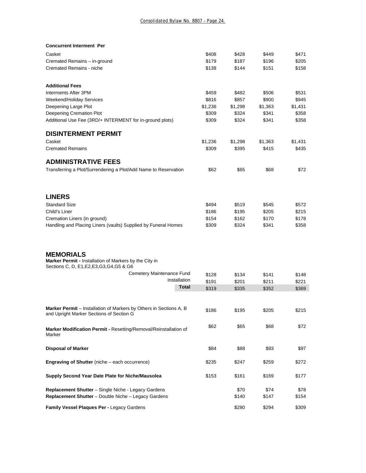| <b>Concurrent Interment Per</b>                                                                      |                |                |                |                |
|------------------------------------------------------------------------------------------------------|----------------|----------------|----------------|----------------|
| Casket                                                                                               | \$408          | \$428          | \$449          | \$471          |
| Cremated Remains - in-ground                                                                         | \$179          | \$187          | \$196          | \$205          |
| Cremated Remains - niche                                                                             | \$138          | \$144          | \$151          | \$158          |
| <b>Additional Fees</b>                                                                               |                |                |                |                |
| Interments After 3PM                                                                                 | \$459          | \$482          | \$506          | \$531          |
| Weekend/Holiday Services                                                                             | \$816          | \$857          | \$900          | \$945          |
| Deepening Large Plot                                                                                 | \$1,236        | \$1,298        | \$1,363        | \$1,431        |
| Deepening Cremation Plot                                                                             | \$309          | \$324          | \$341          | \$358          |
| Additional Use Fee (3RD/+ INTERMENT for in-ground plots)                                             | \$309          | \$324          | \$341          | \$358          |
| <b>DISINTERMENT PERMIT</b>                                                                           |                |                |                |                |
| Casket                                                                                               | \$1,236        | \$1,298        | \$1,363        | \$1,431        |
| <b>Cremated Remains</b>                                                                              | \$309          | \$395          | \$415          | \$435          |
| <b>ADMINISTRATIVE FEES</b>                                                                           |                |                |                |                |
| Transferring a Plot/Surrendering a Plot/Add Name to Reservation                                      | \$62           | \$65           | \$68           | \$72           |
| <b>LINERS</b>                                                                                        |                |                |                |                |
|                                                                                                      |                |                |                |                |
| <b>Standard Size</b>                                                                                 | \$494          | \$519          | \$545          | \$572          |
| Child's Liner                                                                                        | \$186          | \$195          | \$205          | \$215          |
| Cremation Liners (in ground)                                                                         | \$154<br>\$309 | \$162<br>\$324 | \$170<br>\$341 | \$178<br>\$358 |
| Handling and Placing Liners (vaults) Supplied by Funeral Homes                                       |                |                |                |                |
| <b>MEMORIALS</b>                                                                                     |                |                |                |                |
| Marker Permit - Installation of Markers by the City in<br>Sections C, D, E1, E2, E3, G3, G4, G5 & G6 |                |                |                |                |
| Cemetery Maintenance Fund                                                                            | \$128          | \$134          | \$141          | \$148          |
| Installation                                                                                         | \$191          | \$201          | \$211          | \$221          |
| Total                                                                                                | \$319          | \$335          | \$352          | \$369          |
| Marker Permit - Installation of Markers by Others in Sections A, B                                   |                |                |                |                |
| and Upright Marker Sections of Section G                                                             | \$186          | \$195          | \$205          | \$215          |
| Marker Modification Permit - Resetting/Removal/Reinstallation of                                     | \$62           | \$65           | \$68           | \$72           |
| Marker                                                                                               |                |                |                |                |
| <b>Disposal of Marker</b>                                                                            | \$84           | \$88           | \$93           | \$97           |
| <b>Engraving of Shutter</b> (niche – each occurrence)                                                | \$235          | \$247          | \$259          | \$272          |
| Supply Second Year Date Plate for Niche/Mausolea                                                     | \$153          | \$161          | \$169          | \$177          |
| Replacement Shutter - Single Niche - Legacy Gardens                                                  |                | \$70           | \$74           | \$78           |
| Replacement Shutter - Double Niche - Legacy Gardens                                                  |                | \$140          | \$147          | \$154          |
|                                                                                                      |                |                |                |                |
| Family Vessel Plaques Per - Legacy Gardens                                                           |                | \$280          | \$294          | \$309          |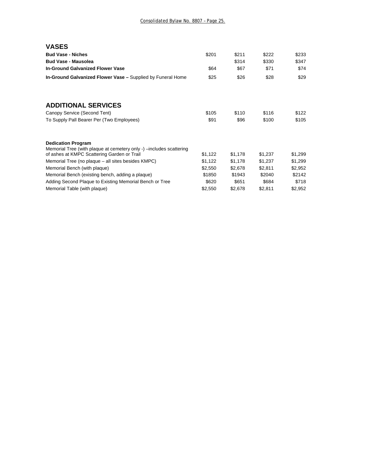| <b>VASES</b>                                                                                     |         |         |         |         |
|--------------------------------------------------------------------------------------------------|---------|---------|---------|---------|
| <b>Bud Vase - Niches</b>                                                                         | \$201   | \$211   | \$222   | \$233   |
| <b>Bud Vase - Mausolea</b>                                                                       |         | \$314   | \$330   | \$347   |
| <b>In-Ground Galvanized Flower Vase</b>                                                          | \$64    | \$67    | \$71    | \$74    |
| In-Ground Galvanized Flower Vase - Supplied by Funeral Home                                      | \$25    | \$26    | \$28    | \$29    |
| <b>ADDITIONAL SERVICES</b>                                                                       |         |         |         |         |
| Canopy Service (Second Tent)                                                                     | \$105   | \$110   | \$116   | \$122   |
| To Supply Pall Bearer Per (Two Employees)                                                        | \$91    | \$96    | \$100   | \$105   |
| <b>Dedication Program</b><br>Memorial Tree (with plaque at cemetery only -) -includes scattering |         |         |         |         |
| of ashes at KMPC Scattering Garden or Trail                                                      | \$1,122 | \$1,178 | \$1,237 | \$1,299 |
| Memorial Tree (no plaque – all sites besides KMPC)                                               | \$1,122 | \$1,178 | \$1,237 | \$1,299 |
| Memorial Bench (with plaque)                                                                     | \$2,550 | \$2,678 | \$2,811 | \$2,952 |
| Memorial Bench (existing bench, adding a plaque)                                                 | \$1850  | \$1943  | \$2040  | \$2142  |
| Adding Second Plaque to Existing Memorial Bench or Tree                                          | \$620   | \$651   | \$684   | \$718   |
| Memorial Table (with plaque)                                                                     | \$2,550 | \$2,678 | \$2,811 | \$2,952 |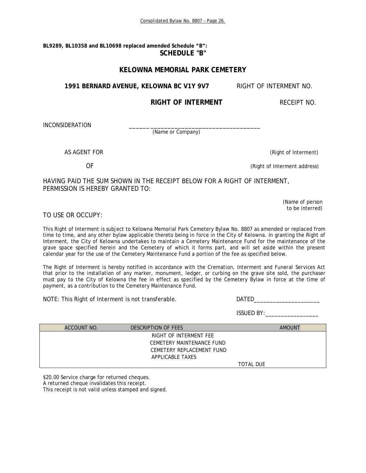**BL9289, BL10358 and BL10698 replaced amended Schedule "B": SCHEDULE "B"** 

## **KELOWNA MEMORIAL PARK CEMETERY**

1991 BERNARD AVENUE, KELOWNA BC V1Y 9V7 RIGHT OF INTERMENT NO.

# **RIGHT OF INTERMENT RECEIPT NO.**

INCONSIDERATION

(Name or Company)

AS AGENT FOR **AGENT** FOR **CONSUMING THE CONSUMING OF A REAL EXECUTIVE CONSUMING THE CONSUMING OF INTERNATIONAL EXECUTIVE CONSUMING THE CONSUMING THE CONSUMING OF A REAL EXPLORER CONSUMING THE CONSUMING THE CONSUMING OF A R** 

OF (Right of Interment address)

HAVING PAID THE SUM SHOWN IN THE RECEIPT BELOW FOR A RIGHT OF INTERMENT, PERMISSION IS HEREBY GRANTED TO:

> (Name of person to be interred)

## TO USE OR OCCUPY:

This Right of Interment is subject to Kelowna Memorial Park Cemetery Bylaw No. 8807 as amended or replaced from time to time, and any other bylaw applicable thereto being in force in the City of Kelowna. In granting the Right of Interment, the City of Kelowna undertakes to maintain a Cemetery Maintenance Fund for the maintenance of the grave space specified herein and the Cemetery of which it forms part, and will set aside within the present calendar year for the use of the Cemetery Maintenance Fund a portion of the fee as specified below.

The Right of Interment is hereby notified in accordance with the *Cremation, Interment and Funeral Services Act*  that prior to the installation of any marker, monument, ledger, or curbing on the grave site sold, the purchaser must pay to the City of Kelowna the fee in effect as specified by the Cemetery Bylaw in force at the time of payment, as a contribution to the Cemetery Maintenance Fund.

NOTE: This Right of Interment is not transferable. DATED\_\_\_\_\_\_\_\_\_\_\_\_\_\_\_\_\_\_\_\_\_\_\_\_

ISSUED BY:\_\_\_\_\_\_\_\_\_\_\_\_\_\_\_\_\_

| ACCOUNT NO. | DESCRIPTION OF FEES       | <b>AMOUNT</b>    |
|-------------|---------------------------|------------------|
|             | RIGHT OF INTERMENT FEE    |                  |
|             | CEMETERY MAINTENANCE FUND |                  |
|             | CEMETERY REPLACEMENT FUND |                  |
|             | APPLICABLE TAXES          |                  |
|             |                           | <b>TOTAL DUE</b> |

\$20.00 Service charge for returned cheques.

A returned cheque invalidates this receipt.

This receipt is not valid unless stamped and signed.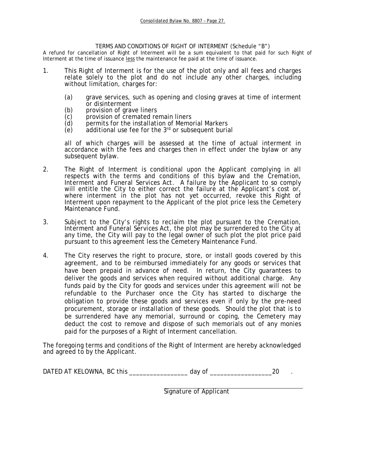### TERMS AND CONDITIONS OF RIGHT OF INTERMENT (Schedule "B")

A refund for cancellation of Right of Interment will be a sum equivalent to that paid for such Right of Interment at the time of issuance less the maintenance fee paid at the time of issuance.

- 1. This Right of Interment is for the use of the plot only and all fees and charges relate solely to the plot and do not include any other charges, including without limitation, charges for:
	- (a) grave services, such as opening and closing graves at time of interment or disinterment
	- (b) provision of grave liners<br>(c) provision of cremated re
	-
	- (c) provision of cremated remain liners<br>
	(d) permits for the installation of Memo<br>
	(e) additional use fee for the  $3<sup>rd</sup>$  or subs permits for the installation of Memorial Markers
	- additional use fee for the  $3<sup>rd</sup>$  or subsequent burial

all of which charges will be assessed at the time of actual interment in accordance with the fees and charges then in effect under the bylaw or any subsequent bylaw.

- 2. The Right of Interment is conditional upon the Applicant complying in all respects with the terms and conditions of this bylaw and the *Cremation*, *Interment and Funeral Services Act*. A failure by the Applicant to so comply will entitle the City to either correct the failure at the Applicant's cost or, where interment in the plot has not yet occurred, revoke this Right of Interment upon repayment to the Applicant of the plot price less the Cemetery Maintenance Fund.
- 3. Subject to the City's rights to reclaim the plot pursuant to the *Cremation, Interment and Funeral Services Act*, the plot may be surrendered to the City at any time, the City will pay to the legal owner of such plot the plot price paid pursuant to this agreement less the Cemetery Maintenance Fund.
- 4. The City reserves the right to procure, store, or install goods covered by this agreement, and to be reimbursed immediately for any goods or services that have been prepaid in advance of need. In return, the City guarantees to deliver the goods and services when required without additional charge. Any funds paid by the City for goods and services under this agreement will not be refundable to the Purchaser once the City has started to discharge the obligation to provide these goods and services even if only by the pre-need procurement, storage or installation of these goods. Should the plot that is to be surrendered have any memorial, surround or coping, the Cemetery may deduct the cost to remove and dispose of such memorials out of any monies paid for the purposes of a Right of Interment cancellation.

The foregoing terms and conditions of the Right of Interment are hereby acknowledged and agreed to by the Applicant.

DATED AT KELOWNA, BC this \_\_\_\_\_\_\_\_\_\_\_\_\_\_\_\_\_\_\_\_\_\_ day of \_\_\_\_\_\_\_\_\_\_\_\_\_\_\_\_\_\_\_\_\_\_\_\_20

Signature of Applicant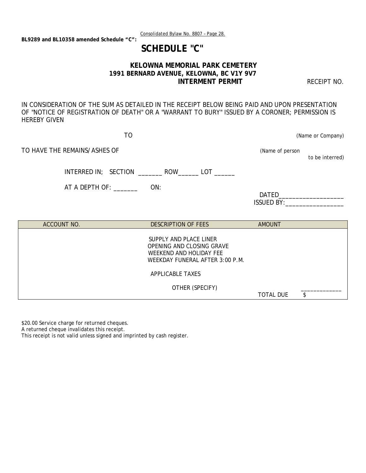Consolidated Bylaw No. 8807 – Page 28.

 **SCHEDULE "C"** 

# **KELOWNA MEMORIAL PARK CEMETERY 1991 BERNARD AVENUE, KELOWNA, BC V1Y 9V7 INTERMENT PERMIT CONTRACT PERMIT AND RECEIPT NO.**

IN CONSIDERATION OF THE SUM AS DETAILED IN THE RECEIPT BELOW BEING PAID AND UPON PRESENTATION OF "NOTICE OF REGISTRATION OF DEATH" OR A "WARRANT TO BURY" ISSUED BY A CORONER; PERMISSION IS HEREBY GIVEN

TO (Name or Company)

TO HAVE THE REMAINS/ASHES OF **EXAMPLE 2018 TO HAVE THE REMAINS/ASHES OF** 

to be interred)

INTERRED IN; SECTION \_\_\_\_\_\_\_\_ ROW\_\_\_\_\_\_ LOT \_\_\_\_\_\_

AT A DEPTH OF: \_\_\_\_\_\_\_ ON:

| DATED         |  |
|---------------|--|
| $ISSI$ FD BY: |  |

| ACCOUNT NO. | <b>DESCRIPTION OF FEES</b>                                                                                        | <b>AMOUNT</b>    |  |
|-------------|-------------------------------------------------------------------------------------------------------------------|------------------|--|
|             | SUPPLY AND PLACE LINER<br>OPENING AND CLOSING GRAVE<br>WEEKEND AND HOLIDAY FEE<br>WEEKDAY FUNERAL AFTER 3:00 P.M. |                  |  |
|             | APPLICABLE TAXES                                                                                                  |                  |  |
|             | OTHER (SPECIFY)                                                                                                   | <b>TOTAL DUE</b> |  |

\$20.00 Service charge for returned cheques.

A returned cheque invalidates this receipt.

This receipt is not valid unless signed and imprinted by cash register.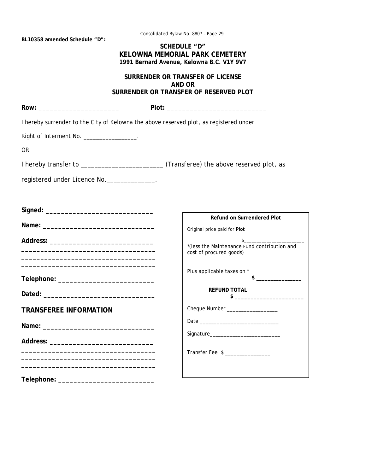Consolidated Bylaw No. 8807 – Page 29.

**BL10358 amended Schedule "D":** 

## **SCHEDULE "D" KELOWNA MEMORIAL PARK CEMETERY 1991 Bernard Avenue, Kelowna B.C. V1Y 9V7**

## **SURRENDER OR TRANSFER OF LICENSE AND OR SURRENDER OR TRANSFER OF RESERVED PLOT**

| I hereby surrender to the City of Kelowna the above reserved plot, as registered under |                                                                                                                                                                                                                                                                                                                                                                                                                                                |
|----------------------------------------------------------------------------------------|------------------------------------------------------------------------------------------------------------------------------------------------------------------------------------------------------------------------------------------------------------------------------------------------------------------------------------------------------------------------------------------------------------------------------------------------|
| Right of Interment No. ________________.                                               |                                                                                                                                                                                                                                                                                                                                                                                                                                                |
| <b>OR</b>                                                                              |                                                                                                                                                                                                                                                                                                                                                                                                                                                |
|                                                                                        |                                                                                                                                                                                                                                                                                                                                                                                                                                                |
| registered under Licence No. _____________.                                            |                                                                                                                                                                                                                                                                                                                                                                                                                                                |
|                                                                                        | <b>Refund on Surrendered Plot</b>                                                                                                                                                                                                                                                                                                                                                                                                              |
|                                                                                        | Original price paid for Plot                                                                                                                                                                                                                                                                                                                                                                                                                   |
|                                                                                        | $\begin{picture}(20,10) \put(0,0){\vector(1,0){100}} \put(15,0){\vector(1,0){100}} \put(15,0){\vector(1,0){100}} \put(15,0){\vector(1,0){100}} \put(15,0){\vector(1,0){100}} \put(15,0){\vector(1,0){100}} \put(15,0){\vector(1,0){100}} \put(15,0){\vector(1,0){100}} \put(15,0){\vector(1,0){100}} \put(15,0){\vector(1,0){100}} \put(15,0){\vector(1,0){100}} \$<br>*(less the Maintenance Fund contribution and<br>cost of procured goods) |
|                                                                                        | Plus applicable taxes on *<br>$\qquad \qquad \bullet$                                                                                                                                                                                                                                                                                                                                                                                          |
|                                                                                        | <b>REFUND TOTAL</b><br>$\frac{1}{2}$ $\frac{1}{2}$ $\frac{1}{2}$ $\frac{1}{2}$ $\frac{1}{2}$ $\frac{1}{2}$ $\frac{1}{2}$ $\frac{1}{2}$ $\frac{1}{2}$ $\frac{1}{2}$ $\frac{1}{2}$ $\frac{1}{2}$ $\frac{1}{2}$ $\frac{1}{2}$ $\frac{1}{2}$ $\frac{1}{2}$ $\frac{1}{2}$ $\frac{1}{2}$ $\frac{1}{2}$ $\frac{1}{2}$ $\frac{1}{2}$ $\frac{1}{2}$                                                                                                     |
| <b>TRANSFEREE INFORMATION</b>                                                          | Cheque Number __________________                                                                                                                                                                                                                                                                                                                                                                                                               |
|                                                                                        |                                                                                                                                                                                                                                                                                                                                                                                                                                                |
|                                                                                        |                                                                                                                                                                                                                                                                                                                                                                                                                                                |
|                                                                                        | Transfer Fee \$ __________________                                                                                                                                                                                                                                                                                                                                                                                                             |
|                                                                                        |                                                                                                                                                                                                                                                                                                                                                                                                                                                |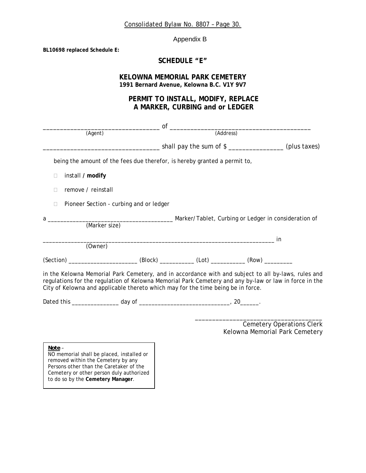Consolidated Bylaw No. 8807 – Page 30.

Appendix B

**BL10698 replaced Schedule E:** 

# **SCHEDULE "E"**

## **KELOWNA MEMORIAL PARK CEMETERY 1991 Bernard Avenue, Kelowna B.C. V1Y 9V7**

# **PERMIT TO INSTALL, MODIFY, REPLACE A MARKER, CURBING and or LEDGER**

|                                                                               | $\overline{\text{of}}$ $\overline{\text{of}}$ $\overline{\text{and} }$ (Address)                                                                                                                                                                                                                  |                                                                               |                                                                    |
|-------------------------------------------------------------------------------|---------------------------------------------------------------------------------------------------------------------------------------------------------------------------------------------------------------------------------------------------------------------------------------------------|-------------------------------------------------------------------------------|--------------------------------------------------------------------|
| (Agent)                                                                       |                                                                                                                                                                                                                                                                                                   |                                                                               |                                                                    |
|                                                                               |                                                                                                                                                                                                                                                                                                   | ____________________shall pay the sum of \$ _____________________(plus taxes) |                                                                    |
|                                                                               | being the amount of the fees due therefor, is hereby granted a permit to,                                                                                                                                                                                                                         |                                                                               |                                                                    |
| install / modify<br>$\Box$                                                    |                                                                                                                                                                                                                                                                                                   |                                                                               |                                                                    |
| remove / reinstall<br>П                                                       |                                                                                                                                                                                                                                                                                                   |                                                                               |                                                                    |
| $\Box$                                                                        | Pioneer Section - curbing and or ledger                                                                                                                                                                                                                                                           |                                                                               |                                                                    |
|                                                                               |                                                                                                                                                                                                                                                                                                   |                                                                               |                                                                    |
|                                                                               |                                                                                                                                                                                                                                                                                                   |                                                                               |                                                                    |
| (Owner)                                                                       |                                                                                                                                                                                                                                                                                                   |                                                                               |                                                                    |
|                                                                               | (Section) _____________________________(Block) _____________(Lot) _____________(Row) ______________                                                                                                                                                                                               |                                                                               |                                                                    |
|                                                                               | in the Kelowna Memorial Park Cemetery, and in accordance with and subject to all by-laws, rules and<br>regulations for the regulation of Kelowna Memorial Park Cemetery and any by-law or law in force in the<br>City of Kelowna and applicable thereto which may for the time being be in force. |                                                                               |                                                                    |
|                                                                               |                                                                                                                                                                                                                                                                                                   |                                                                               |                                                                    |
| Note -<br>NO memorial shall be placed, installed or                           |                                                                                                                                                                                                                                                                                                   |                                                                               | <b>Cemetery Operations Clerk</b><br>Kelowna Memorial Park Cemetery |
| removed within the Cemetery by any<br>Persons other than the Caretaker of the |                                                                                                                                                                                                                                                                                                   |                                                                               |                                                                    |

Cemetery or other person duly authorized to do so by the **Cemetery Manager**.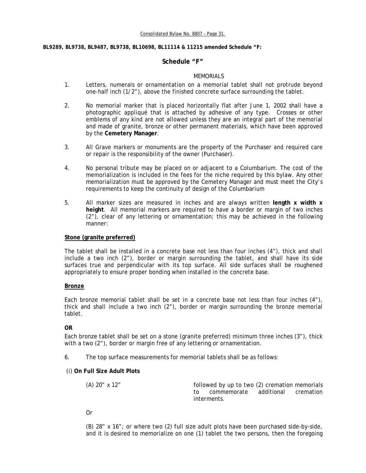#### **BL9289, BL9738, BL9487, BL9738, BL10698, BL11114 & 11215 amended Schedule "F:**

### **Schedule "F"**

#### MEMORIALS

- 1. Letters, numerals or ornamentation on a memorial tablet shall not protrude beyond one-half inch (1/2"), above the finished concrete surface surrounding the tablet.
- 2. No memorial marker that is placed horizontally flat after June 1, 2002 shall have a photographic appliqué that is attached by adhesive of any type. Crosses or other emblems of any kind are not allowed unless they are an integral part of the memorial and made of granite, bronze or other permanent materials, which have been approved by the **Cemetery Manager**.
- 3. All Grave markers or monuments are the property of the Purchaser and required care or repair is the responsibility of the owner (Purchaser).
- 4. No personal tribute may be placed on or adjacent to a Columbarium. The cost of the memorialization is included in the fees for the niche required by this bylaw. Any other memorialization must be approved by the Cemetery Manager and must meet the City's requirements to keep the continuity of design of the Columbarium
- 5. All marker sizes are measured in inches and are always written **length x width x height**. All memorial markers are required to have a border or margin of two inches (2"), clear of any lettering or ornamentation; this may be achieved in the following manner:

### **Stone (granite preferred)**

 The tablet shall be installed in a concrete base not less than four inches (4"), thick and shall include a two inch (2"), border or margin surrounding the tablet, and shall have its side surfaces true and perpendicular with its top surface. All side surfaces shall be roughened appropriately to ensure proper bonding when installed in the concrete base.

### **Bronze**

 Each bronze memorial tablet shall be set in a concrete base not less than four inches (4"), thick and shall include a two inch (2"), border or margin surrounding the bronze memorial tablet.

### **OR**

Each bronze tablet shall be set on a stone (granite preferred) minimum three inches (3"), thick with a two (2"), border or margin free of any lettering or ornamentation.

6. The top surface measurements for memorial tablets shall be as follows:

### (i) **On Full Size Adult Plots**

| $(A)$ 20" x 12" | followed by up to two (2) cremation memorials |                      |  |
|-----------------|-----------------------------------------------|----------------------|--|
|                 | to commemorate                                | additional cremation |  |
|                 | interments.                                   |                      |  |

Or

(B) 28" x 16"; or where two (2) full size adult plots have been purchased side-by-side, and it is desired to memorialize on one (1) tablet the two persons, then the foregoing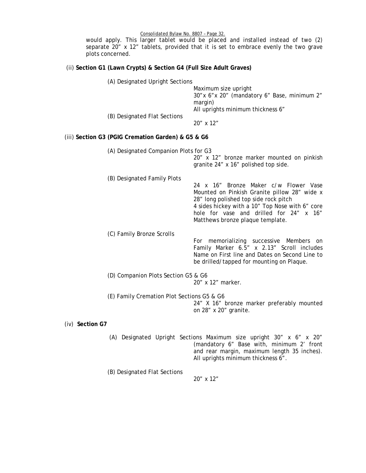Consolidated Bylaw No. 8807 – Page 32.

would apply. This larger tablet would be placed and installed instead of two (2) separate 20" x 12" tablets, provided that it is set to embrace evenly the two grave plots concerned.

# (ii) **Section G1 (Lawn Crypts) & Section G4 (Full Size Adult Graves)**

| $\frac{1}{2}$                                            |                                            |                                                                                                                                                                                                                                                                  |
|----------------------------------------------------------|--------------------------------------------|------------------------------------------------------------------------------------------------------------------------------------------------------------------------------------------------------------------------------------------------------------------|
|                                                          | (A) Designated Upright Sections            | Maximum size upright<br>30" x 6" x 20" (mandatory 6" Base, minimum 2"<br>margin)                                                                                                                                                                                 |
|                                                          | (B) Designated Flat Sections               | All uprights minimum thickness 6"<br>20" x 12"                                                                                                                                                                                                                   |
| (iii) Section G3 (PGIG Cremation Garden) & G5 & G6       |                                            |                                                                                                                                                                                                                                                                  |
|                                                          | (A) Designated Companion Plots for G3      | 20" x 12" bronze marker mounted on pinkish<br>granite 24" x 16" polished top side.                                                                                                                                                                               |
|                                                          | (B) Designated Family Plots                | 24 x 16" Bronze Maker c/w Flower Vase<br>Mounted on Pinkish Granite pillow 28" wide x<br>28" long polished top side rock pitch<br>4 sides hickey with a 10" Top Nose with 6" core<br>hole for vase and drilled for 24" x 16"<br>Matthews bronze plaque template. |
|                                                          | (C) Family Bronze Scrolls                  | For memorializing successive Members on<br>Family Marker 6.5" x 2.13" Scroll includes<br>Name on First line and Dates on Second Line to<br>be drilled/tapped for mounting on Plaque.                                                                             |
| (D) Companion Plots Section G5 & G6<br>20" x 12" marker. |                                            |                                                                                                                                                                                                                                                                  |
|                                                          | (E) Family Cremation Plot Sections G5 & G6 | 24" X 16" bronze marker preferably mounted<br>on 28" x 20" granite.                                                                                                                                                                                              |
| (iv) Section G7                                          |                                            |                                                                                                                                                                                                                                                                  |
|                                                          |                                            | (A) Designated Upright Sections Maximum size upright 30" x 6" x 20"<br>(mandatory 6" Base with, minimum 2' front<br>and rear margin, maximum length 35 inches).                                                                                                  |

(B) Designated Flat Sections

20" x 12"

All uprights minimum thickness 6".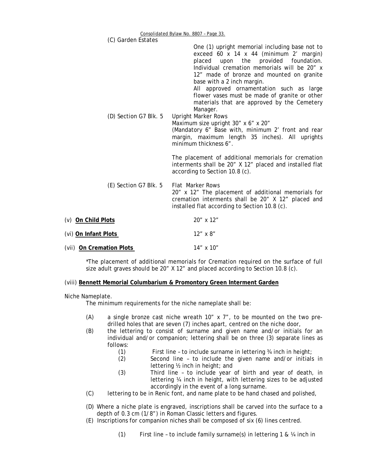| (C) Garden Estates       | $\frac{1}{2}$                                                                                                                                                                                                                                                                                                                                                                                                        |
|--------------------------|----------------------------------------------------------------------------------------------------------------------------------------------------------------------------------------------------------------------------------------------------------------------------------------------------------------------------------------------------------------------------------------------------------------------|
|                          | One (1) upright memorial including base not to<br>exceed 60 x 14 x 44 (minimum 2' margin)<br>placed upon the provided foundation.<br>Individual cremation memorials will be 20" x<br>12" made of bronze and mounted on granite<br>base with a 2 inch margin.<br>All approved ornamentation such as large<br>flower vases must be made of granite or other<br>materials that are approved by the Cemetery<br>Manager. |
| (D) Section G7 Blk. 5    | <b>Upright Marker Rows</b><br>Maximum size upright 30" x 6" x 20"<br>(Mandatory 6" Base with, minimum 2' front and rear<br>margin, maximum length 35 inches). All uprights<br>minimum thickness 6".                                                                                                                                                                                                                  |
|                          | The placement of additional memorials for cremation<br>interments shall be 20" X 12" placed and installed flat<br>according to Section 10.8 (c).                                                                                                                                                                                                                                                                     |
| (E) Section G7 Blk. 5    | <b>Flat Marker Rows</b><br>20" x 12" The placement of additional memorials for<br>cremation interments shall be 20" X 12" placed and<br>installed flat according to Section 10.8 (c).                                                                                                                                                                                                                                |
| (v) On Child Plots       | 20" x 12"                                                                                                                                                                                                                                                                                                                                                                                                            |
| (vi) On Infant Plots     | 12" x 8"                                                                                                                                                                                                                                                                                                                                                                                                             |
| (vii) On Cremation Plots | 14" x 10"                                                                                                                                                                                                                                                                                                                                                                                                            |

\*The placement of additional memorials for Cremation required on the surface of full size adult graves should be 20" X 12" and placed according to Section 10.8 (c).

### (viii) **Bennett Memorial Columbarium & Promontory Green Interment Garden**

Niche Nameplate.

The minimum requirements for the niche nameplate shall be:

- (A) a single bronze cast niche wreath  $10''$  x  $7''$ , to be mounted on the two predrilled holes that are seven (7) inches apart, centred on the niche door,
- (B) the lettering to consist of surname and given name and/or initials for an individual and/or companion; lettering shall be on three (3) separate lines as follows:
	- (1) First line to include surname in lettering ¾ inch in height;
	- (2) Second line to include the given name and/or initials in lettering ½ inch in height; and
	- (3) Third line to include year of birth and year of death, in lettering ¼ inch in height, with lettering sizes to be adjusted accordingly in the event of a long surname.
- (C) lettering to be in Renic font, and name plate to be hand chased and polished,
- (D) Where a niche plate is engraved, inscriptions shall be carved into the surface to a depth of 0.3 cm (1/8") in Roman Classic letters and figures.
- (E) Inscriptions for companion niches shall be composed of six (6) lines centred.
	- (1) First line to include family surname(s) in lettering 1 & ¼ inch in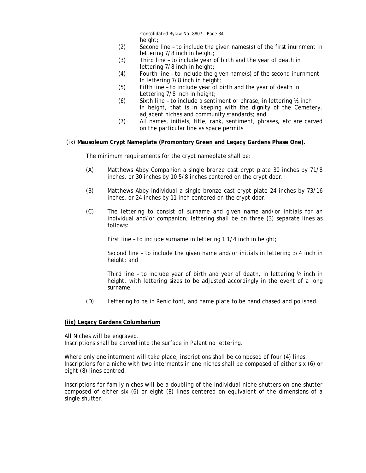Consolidated Bylaw No. 8807 – Page 34. height;

- (2) Second line to include the given names(s) of the first inurnment in lettering 7/8 inch in height;
- (3) Third line to include year of birth and the year of death in lettering 7/8 inch in height;
- (4) Fourth line to include the given name(s) of the second inurnment In lettering 7/8 inch in height;
- (5) Fifth line to include year of birth and the year of death in Lettering 7/8 inch in height;
- (6) Sixth line to include a sentiment or phrase, in lettering ½ inch In height, that is in keeping with the dignity of the Cemetery, adjacent niches and community standards; and
- (7) All names, initials, title, rank, sentiment, phrases, etc are carved on the particular line as space permits.

#### (ix) **Mausoleum Crypt Nameplate (Promontory Green and Legacy Gardens Phase One).**

The minimum requirements for the crypt nameplate shall be:

- (A) Matthews Abby Companion a single bronze cast crypt plate 30 inches by 71/8 inches, or 30 inches by 10 5/8 inches centered on the crypt door.
- (B) Matthews Abby Individual a single bronze cast crypt plate 24 inches by 73/16 inches, or 24 inches by 11 inch centered on the crypt door.
- (C) The lettering to consist of surname and given name and/or initials for an individual and/or companion; lettering shall be on three (3) separate lines as follows:

First line - to include surname in lettering 1 1/4 inch in height;

 Second line – to include the given name and/or initials in lettering 3/4 inch in height; and

Third line – to include year of birth and year of death, in lettering ½ inch in height, with lettering sizes to be adjusted accordingly in the event of a long surname,

(D) Lettering to be in Renic font, and name plate to be hand chased and polished.

#### **(iix) Legacy Gardens Columbarium**

All Niches will be engraved. Inscriptions shall be carved into the surface in Palantino lettering.

Where only one interment will take place, inscriptions shall be composed of four (4) lines. Inscriptions for a niche with two interments in one niches shall be composed of either six (6) or eight (8) lines centred.

Inscriptions for family niches will be a doubling of the individual niche shutters on one shutter composed of either six (6) or eight (8) lines centered on equivalent of the dimensions of a single shutter.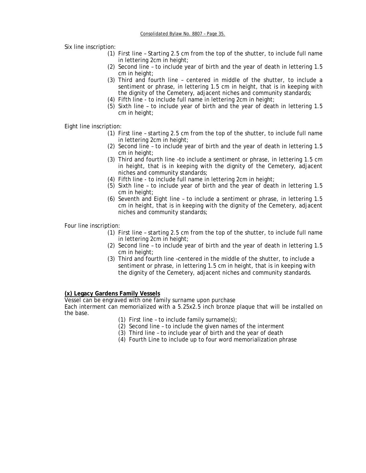Six line inscription:

- (1) First line Starting 2.5 cm from the top of the shutter, to include full name in lettering 2cm in height;
- (2) Second line to include year of birth and the year of death in lettering 1.5 cm in height;
- (3) Third and fourth line centered in middle of the shutter, to include a sentiment or phrase, in lettering 1.5 cm in height, that is in keeping with the dignity of the Cemetery, adjacent niches and community standards;
- (4) Fifth line to include full name in lettering 2cm in height;
- (5) Sixth line to include year of birth and the year of death in lettering 1.5 cm in height;

Eight line inscription:

- (1) First line starting 2.5 cm from the top of the shutter, to include full name in lettering 2cm in height;
- (2) Second line to include year of birth and the year of death in lettering 1.5 cm in height;
- (3) Third and fourth line –to include a sentiment or phrase, in lettering 1.5 cm in height, that is in keeping with the dignity of the Cemetery, adjacent niches and community standards;
- (4) Fifth line to include full name in lettering 2cm in height;
- (5) Sixth line to include year of birth and the year of death in lettering 1.5 cm in height;
- (6) Seventh and Eight line to include a sentiment or phrase, in lettering 1.5 cm in height, that is in keeping with the dignity of the Cemetery, adjacent niches and community standards;

Four line inscription:

- (1) First line starting 2.5 cm from the top of the shutter, to include full name in lettering 2cm in height;
- (2) Second line to include year of birth and the year of death in lettering 1.5 cm in height;
- (3) Third and fourth line –centered in the middle of the shutter, to include a sentiment or phrase, in lettering 1.5 cm in height, that is in keeping with the dignity of the Cemetery, adjacent niches and community standards.

### **(x) Legacy Gardens Family Vessels**

Vessel can be engraved with one family surname upon purchase

Each interment can memorialized with a 5.25x2.5 inch bronze plaque that will be installed on the base.

- (1) First line to include family surname(s);
- (2) Second line to include the given names of the interment
- (3) Third line to include year of birth and the year of death
- (4) Fourth Line to include up to four word memorialization phrase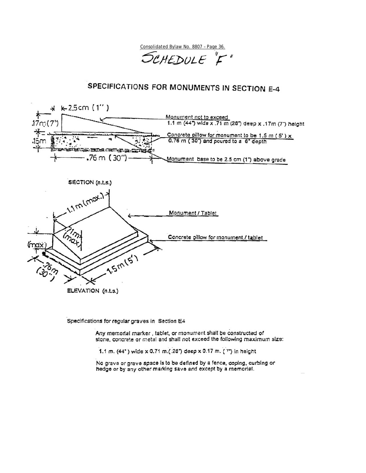Consolidated Bylaw No. 8807 – Page 36.

SCHEDULE "F"

# SPECIFICATIONS FOR MONUMENTS IN SECTION E-4



Specifications for regular graves in Section E4

Any memorial marker, tablet, or monument shall be constructed of stone, concrete or metal and shall not exceed the following maximum size:

1.1 m. (44") wide x 0.71 m.(:28") deep x 0.17 m. (7") in height

No grave or grave space is to be defined by a fence, coping, curbing or hedge or by any other marking save and except by a memorial.